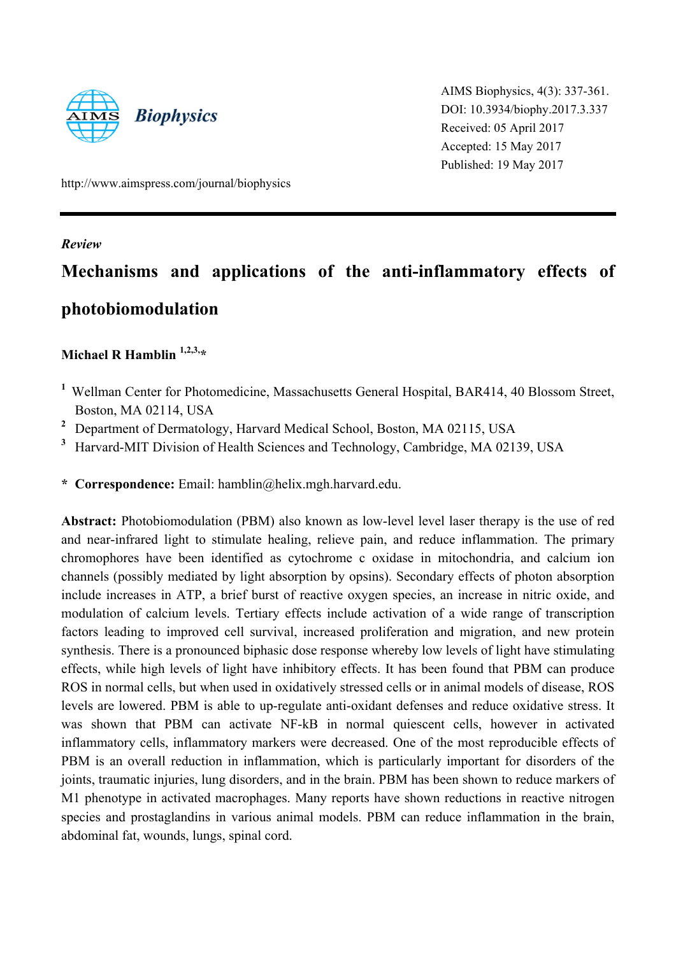

AIMS Biophysics, 4(3): 337-361. DOI: 10.3934/biophy.2017.3.337 Received: 05 April 2017 Accepted: 15 May 2017 Published: 19 May 2017

http://www.aimspress.com/journal/biophysics

# *Review*

# **Mechanisms and applications of the anti-inflammatory effects of photobiomodulation**

# **Michael R Hamblin 1,2,3,\***

- <sup>1</sup> Wellman Center for Photomedicine, Massachusetts General Hospital, BAR414, 40 Blossom Street, Boston, MA 02114, USA
- <sup>2</sup> Department of Dermatology, Harvard Medical School, Boston, MA 02115, USA
- <sup>3</sup> Harvard-MIT Division of Health Sciences and Technology, Cambridge, MA 02139, USA
- **\* Correspondence:** Email: hamblin@helix.mgh.harvard.edu.

**Abstract:** Photobiomodulation (PBM) also known as low-level level laser therapy is the use of red and near-infrared light to stimulate healing, relieve pain, and reduce inflammation. The primary chromophores have been identified as cytochrome c oxidase in mitochondria, and calcium ion channels (possibly mediated by light absorption by opsins). Secondary effects of photon absorption include increases in ATP, a brief burst of reactive oxygen species, an increase in nitric oxide, and modulation of calcium levels. Tertiary effects include activation of a wide range of transcription factors leading to improved cell survival, increased proliferation and migration, and new protein synthesis. There is a pronounced biphasic dose response whereby low levels of light have stimulating effects, while high levels of light have inhibitory effects. It has been found that PBM can produce ROS in normal cells, but when used in oxidatively stressed cells or in animal models of disease, ROS levels are lowered. PBM is able to up-regulate anti-oxidant defenses and reduce oxidative stress. It was shown that PBM can activate NF-kB in normal quiescent cells, however in activated inflammatory cells, inflammatory markers were decreased. One of the most reproducible effects of PBM is an overall reduction in inflammation, which is particularly important for disorders of the joints, traumatic injuries, lung disorders, and in the brain. PBM has been shown to reduce markers of M1 phenotype in activated macrophages. Many reports have shown reductions in reactive nitrogen species and prostaglandins in various animal models. PBM can reduce inflammation in the brain, abdominal fat, wounds, lungs, spinal cord.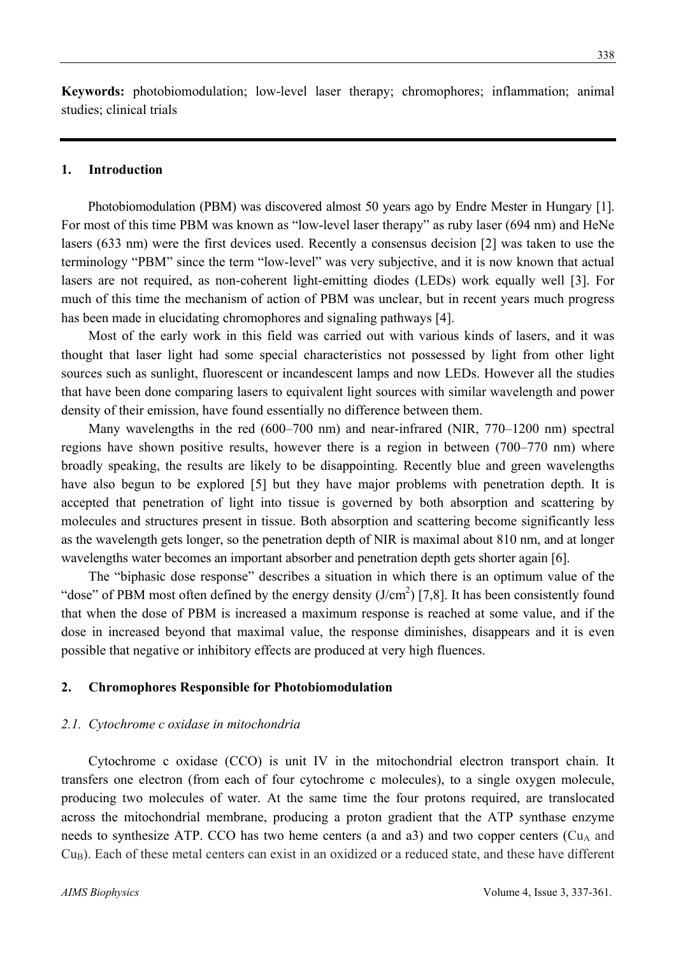**Keywords:** photobiomodulation; low-level laser therapy; chromophores; inflammation; animal studies; clinical trials

# **1. Introduction**

Photobiomodulation (PBM) was discovered almost 50 years ago by Endre Mester in Hungary [1]. For most of this time PBM was known as "low-level laser therapy" as ruby laser (694 nm) and HeNe lasers (633 nm) were the first devices used. Recently a consensus decision [2] was taken to use the terminology "PBM" since the term "low-level" was very subjective, and it is now known that actual lasers are not required, as non-coherent light-emitting diodes (LEDs) work equally well [3]. For much of this time the mechanism of action of PBM was unclear, but in recent years much progress has been made in elucidating chromophores and signaling pathways [4].

Most of the early work in this field was carried out with various kinds of lasers, and it was thought that laser light had some special characteristics not possessed by light from other light sources such as sunlight, fluorescent or incandescent lamps and now LEDs. However all the studies that have been done comparing lasers to equivalent light sources with similar wavelength and power density of their emission, have found essentially no difference between them.

Many wavelengths in the red (600–700 nm) and near-infrared (NIR, 770–1200 nm) spectral regions have shown positive results, however there is a region in between (700–770 nm) where broadly speaking, the results are likely to be disappointing. Recently blue and green wavelengths have also begun to be explored [5] but they have major problems with penetration depth. It is accepted that penetration of light into tissue is governed by both absorption and scattering by molecules and structures present in tissue. Both absorption and scattering become significantly less as the wavelength gets longer, so the penetration depth of NIR is maximal about 810 nm, and at longer wavelengths water becomes an important absorber and penetration depth gets shorter again [6].

The "biphasic dose response" describes a situation in which there is an optimum value of the "dose" of PBM most often defined by the energy density  $(J/cm<sup>2</sup>)$  [7,8]. It has been consistently found that when the dose of PBM is increased a maximum response is reached at some value, and if the dose in increased beyond that maximal value, the response diminishes, disappears and it is even possible that negative or inhibitory effects are produced at very high fluences.

#### **2. Chromophores Responsible for Photobiomodulation**

#### *2.1. Cytochrome c oxidase in mitochondria*

Cytochrome c oxidase (CCO) is unit IV in the mitochondrial electron transport chain. It transfers one electron (from each of four cytochrome c molecules), to a single oxygen molecule, producing two molecules of water. At the same time the four protons required, are translocated across the mitochondrial membrane, producing a proton gradient that the ATP synthase enzyme needs to synthesize ATP. CCO has two heme centers (a and a3) and two copper centers ( $Cu<sub>A</sub>$  and  $Cu<sub>B</sub>$ ). Each of these metal centers can exist in an oxidized or a reduced state, and these have different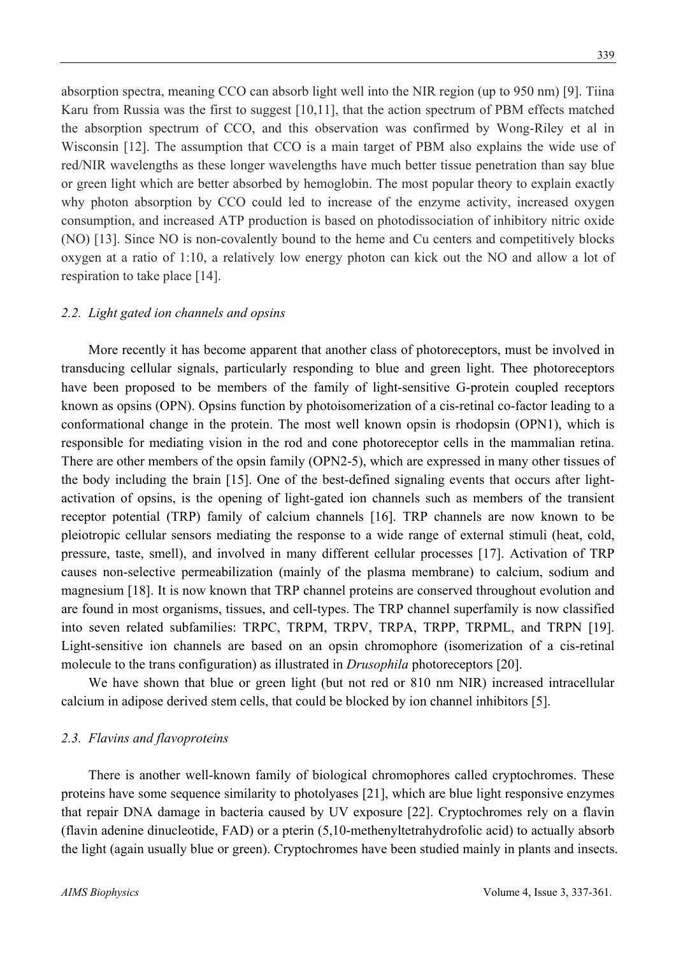absorption spectra, meaning CCO can absorb light well into the NIR region (up to 950 nm) [9]. Tiina Karu from Russia was the first to suggest [10,11], that the action spectrum of PBM effects matched the absorption spectrum of CCO, and this observation was confirmed by Wong-Riley et al in Wisconsin [12]. The assumption that CCO is a main target of PBM also explains the wide use of red/NIR wavelengths as these longer wavelengths have much better tissue penetration than say blue or green light which are better absorbed by hemoglobin. The most popular theory to explain exactly why photon absorption by CCO could led to increase of the enzyme activity, increased oxygen consumption, and increased ATP production is based on photodissociation of inhibitory nitric oxide (NO) [13]. Since NO is non-covalently bound to the heme and Cu centers and competitively blocks oxygen at a ratio of 1:10, a relatively low energy photon can kick out the NO and allow a lot of respiration to take place [14].

#### *2.2. Light gated ion channels and opsins*

More recently it has become apparent that another class of photoreceptors, must be involved in transducing cellular signals, particularly responding to blue and green light. Thee photoreceptors have been proposed to be members of the family of light-sensitive G-protein coupled receptors known as opsins (OPN). Opsins function by photoisomerization of a cis-retinal co-factor leading to a conformational change in the protein. The most well known opsin is rhodopsin (OPN1), which is responsible for mediating vision in the rod and cone photoreceptor cells in the mammalian retina. There are other members of the opsin family (OPN2-5), which are expressed in many other tissues of the body including the brain [15]. One of the best-defined signaling events that occurs after lightactivation of opsins, is the opening of light-gated ion channels such as members of the transient receptor potential (TRP) family of calcium channels [16]. TRP channels are now known to be pleiotropic cellular sensors mediating the response to a wide range of external stimuli (heat, cold, pressure, taste, smell), and involved in many different cellular processes [17]. Activation of TRP causes non-selective permeabilization (mainly of the plasma membrane) to calcium, sodium and magnesium [18]. It is now known that TRP channel proteins are conserved throughout evolution and are found in most organisms, tissues, and cell-types. The TRP channel superfamily is now classified into seven related subfamilies: TRPC, TRPM, TRPV, TRPA, TRPP, TRPML, and TRPN [19]. Light-sensitive ion channels are based on an opsin chromophore (isomerization of a cis-retinal molecule to the trans configuration) as illustrated in *Drusophila* photoreceptors [20].

We have shown that blue or green light (but not red or 810 nm NIR) increased intracellular calcium in adipose derived stem cells, that could be blocked by ion channel inhibitors [5].

#### *2.3. Flavins and flavoproteins*

There is another well-known family of biological chromophores called cryptochromes. These proteins have some sequence similarity to photolyases [21], which are blue light responsive enzymes that repair DNA damage in bacteria caused by UV exposure [22]. Cryptochromes rely on a flavin (flavin adenine dinucleotide, FAD) or a pterin (5,10-methenyltetrahydrofolic acid) to actually absorb the light (again usually blue or green). Cryptochromes have been studied mainly in plants and insects.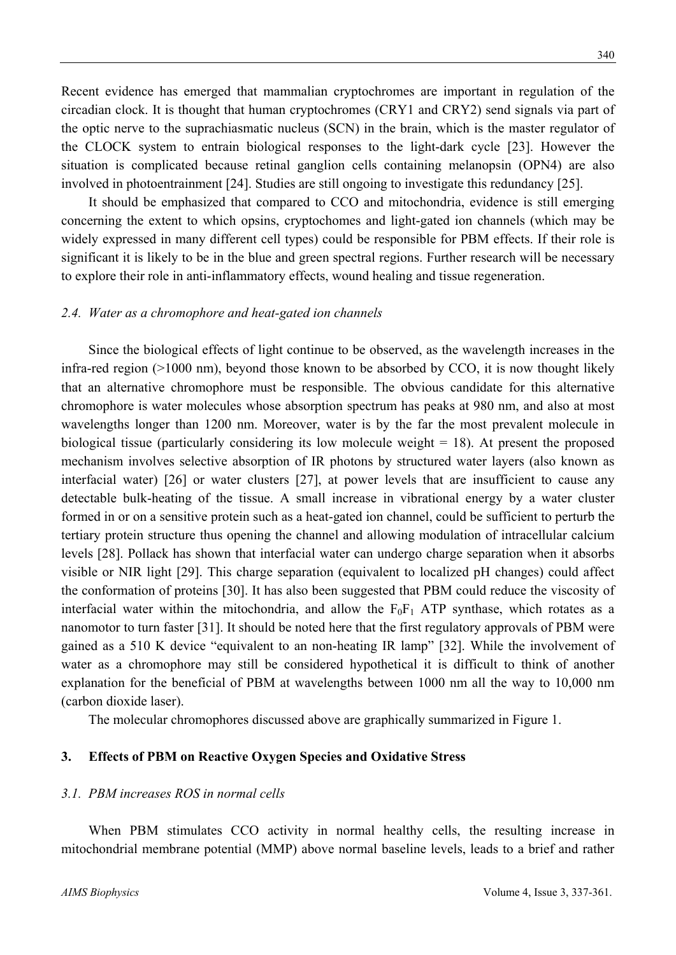Recent evidence has emerged that mammalian cryptochromes are important in regulation of the circadian clock. It is thought that human cryptochromes (CRY1 and CRY2) send signals via part of the optic nerve to the suprachiasmatic nucleus (SCN) in the brain, which is the master regulator of the CLOCK system to entrain biological responses to the light-dark cycle [23]. However the situation is complicated because retinal ganglion cells containing melanopsin (OPN4) are also involved in photoentrainment [24]. Studies are still ongoing to investigate this redundancy [25].

It should be emphasized that compared to CCO and mitochondria, evidence is still emerging concerning the extent to which opsins, cryptochomes and light-gated ion channels (which may be widely expressed in many different cell types) could be responsible for PBM effects. If their role is significant it is likely to be in the blue and green spectral regions. Further research will be necessary to explore their role in anti-inflammatory effects, wound healing and tissue regeneration.

# *2.4. Water as a chromophore and heat-gated ion channels*

Since the biological effects of light continue to be observed, as the wavelength increases in the infra-red region (>1000 nm), beyond those known to be absorbed by CCO, it is now thought likely that an alternative chromophore must be responsible. The obvious candidate for this alternative chromophore is water molecules whose absorption spectrum has peaks at 980 nm, and also at most wavelengths longer than 1200 nm. Moreover, water is by the far the most prevalent molecule in biological tissue (particularly considering its low molecule weight = 18). At present the proposed mechanism involves selective absorption of IR photons by structured water layers (also known as interfacial water) [26] or water clusters [27], at power levels that are insufficient to cause any detectable bulk-heating of the tissue. A small increase in vibrational energy by a water cluster formed in or on a sensitive protein such as a heat-gated ion channel, could be sufficient to perturb the tertiary protein structure thus opening the channel and allowing modulation of intracellular calcium levels [28]. Pollack has shown that interfacial water can undergo charge separation when it absorbs visible or NIR light [29]. This charge separation (equivalent to localized pH changes) could affect the conformation of proteins [30]. It has also been suggested that PBM could reduce the viscosity of interfacial water within the mitochondria, and allow the  $F_0F_1$  ATP synthase, which rotates as a nanomotor to turn faster [31]. It should be noted here that the first regulatory approvals of PBM were gained as a 510 K device "equivalent to an non-heating IR lamp" [32]. While the involvement of water as a chromophore may still be considered hypothetical it is difficult to think of another explanation for the beneficial of PBM at wavelengths between 1000 nm all the way to 10,000 nm (carbon dioxide laser).

The molecular chromophores discussed above are graphically summarized in Figure 1.

# **3. Effects of PBM on Reactive Oxygen Species and Oxidative Stress**

#### *3.1. PBM increases ROS in normal cells*

When PBM stimulates CCO activity in normal healthy cells, the resulting increase in mitochondrial membrane potential (MMP) above normal baseline levels, leads to a brief and rather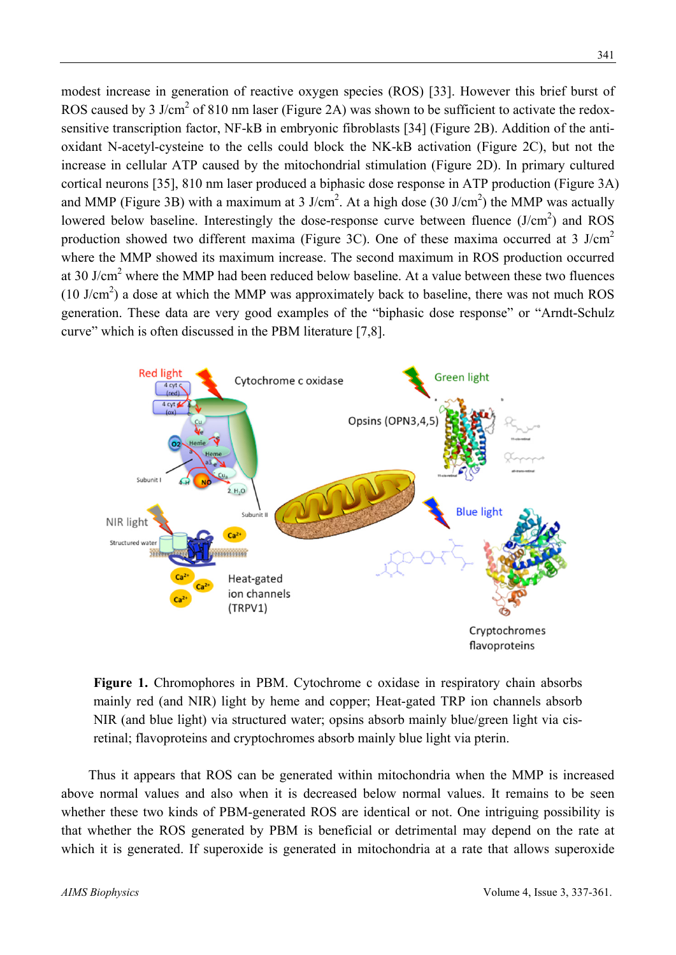modest increase in generation of reactive oxygen species (ROS) [33]. However this brief burst of ROS caused by 3 J/cm<sup>2</sup> of 810 nm laser (Figure 2A) was shown to be sufficient to activate the redoxsensitive transcription factor, NF-kB in embryonic fibroblasts [34] (Figure 2B). Addition of the antioxidant N-acetyl-cysteine to the cells could block the NK-kB activation (Figure 2C), but not the increase in cellular ATP caused by the mitochondrial stimulation (Figure 2D). In primary cultured cortical neurons [35], 810 nm laser produced a biphasic dose response in ATP production (Figure 3A) and MMP (Figure 3B) with a maximum at 3 J/cm<sup>2</sup>. At a high dose (30 J/cm<sup>2</sup>) the MMP was actually lowered below baseline. Interestingly the dose-response curve between fluence  $(J/cm<sup>2</sup>)$  and ROS production showed two different maxima (Figure 3C). One of these maxima occurred at 3 J/cm<sup>2</sup> where the MMP showed its maximum increase. The second maximum in ROS production occurred at 30 J/cm<sup>2</sup> where the MMP had been reduced below baseline. At a value between these two fluences  $(10 \text{ J/cm}^2)$  a dose at which the MMP was approximately back to baseline, there was not much ROS generation. These data are very good examples of the "biphasic dose response" or "Arndt-Schulz curve" which is often discussed in the PBM literature [7,8].



Figure 1. Chromophores in PBM. Cytochrome c oxidase in respiratory chain absorbs mainly red (and NIR) light by heme and copper; Heat-gated TRP ion channels absorb NIR (and blue light) via structured water; opsins absorb mainly blue/green light via cisretinal; flavoproteins and cryptochromes absorb mainly blue light via pterin.

Thus it appears that ROS can be generated within mitochondria when the MMP is increased above normal values and also when it is decreased below normal values. It remains to be seen whether these two kinds of PBM-generated ROS are identical or not. One intriguing possibility is that whether the ROS generated by PBM is beneficial or detrimental may depend on the rate at which it is generated. If superoxide is generated in mitochondria at a rate that allows superoxide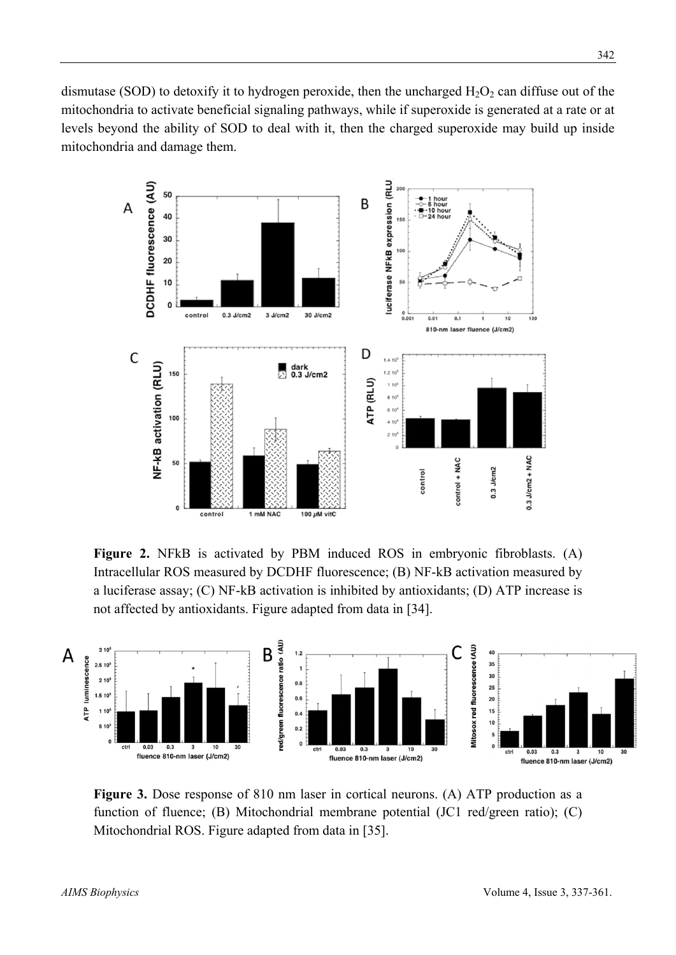dismutase (SOD) to detoxify it to hydrogen peroxide, then the uncharged  $H_2O_2$  can diffuse out of the mitochondria to activate beneficial signaling pathways, while if superoxide is generated at a rate or at levels beyond the ability of SOD to deal with it, then the charged superoxide may build up inside mitochondria and damage them.



Figure 2. NFkB is activated by PBM induced ROS in embryonic fibroblasts. (A) Intracellular ROS measured by DCDHF fluorescence; (B) NF-kB activation measured by a luciferase assay; (C) NF-kB activation is inhibited by antioxidants; (D) ATP increase is not affected by antioxidants. Figure adapted from data in [34].



Figure 3. Dose response of 810 nm laser in cortical neurons. (A) ATP production as a function of fluence; (B) Mitochondrial membrane potential (JC1 red/green ratio); (C) Mitochondrial ROS. Figure adapted from data in [35].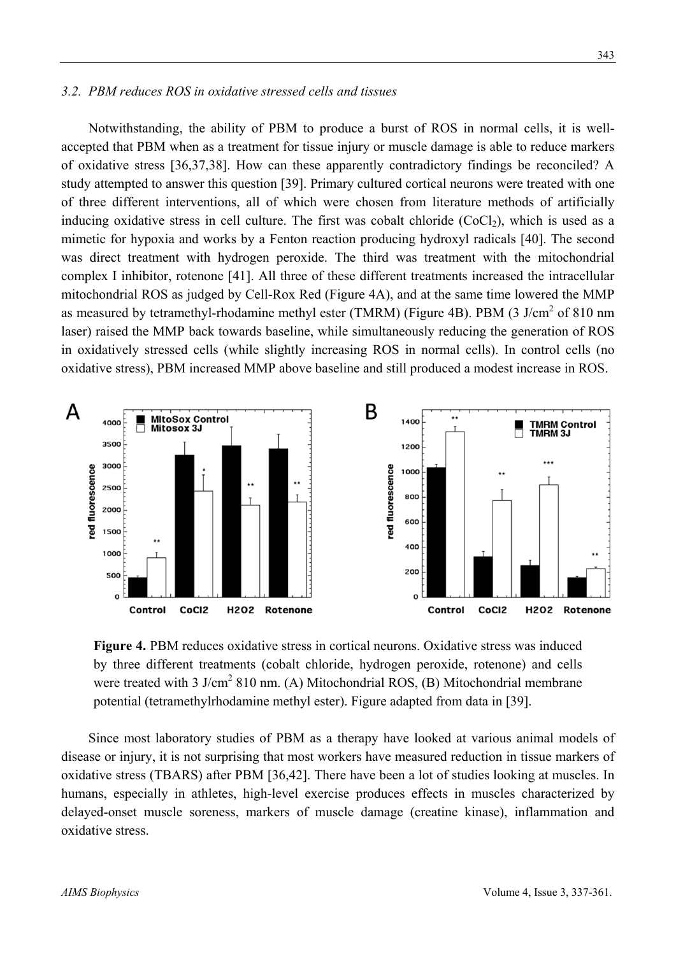#### *3.2. PBM reduces ROS in oxidative stressed cells and tissues*

Notwithstanding, the ability of PBM to produce a burst of ROS in normal cells, it is wellaccepted that PBM when as a treatment for tissue injury or muscle damage is able to reduce markers of oxidative stress [36,37,38]. How can these apparently contradictory findings be reconciled? A study attempted to answer this question [39]. Primary cultured cortical neurons were treated with one of three different interventions, all of which were chosen from literature methods of artificially inducing oxidative stress in cell culture. The first was cobalt chloride  $(CoCl<sub>2</sub>)$ , which is used as a mimetic for hypoxia and works by a Fenton reaction producing hydroxyl radicals [40]. The second was direct treatment with hydrogen peroxide. The third was treatment with the mitochondrial complex I inhibitor, rotenone [41]. All three of these different treatments increased the intracellular mitochondrial ROS as judged by Cell-Rox Red (Figure 4A), and at the same time lowered the MMP as measured by tetramethyl-rhodamine methyl ester (TMRM) (Figure 4B). PBM (3 J/cm<sup>2</sup> of 810 nm laser) raised the MMP back towards baseline, while simultaneously reducing the generation of ROS in oxidatively stressed cells (while slightly increasing ROS in normal cells). In control cells (no oxidative stress), PBM increased MMP above baseline and still produced a modest increase in ROS.



**Figure 4.** PBM reduces oxidative stress in cortical neurons. Oxidative stress was induced by three different treatments (cobalt chloride, hydrogen peroxide, rotenone) and cells were treated with 3 J/cm<sup>2</sup> 810 nm. (A) Mitochondrial ROS, (B) Mitochondrial membrane potential (tetramethylrhodamine methyl ester). Figure adapted from data in [39].

Since most laboratory studies of PBM as a therapy have looked at various animal models of disease or injury, it is not surprising that most workers have measured reduction in tissue markers of oxidative stress (TBARS) after PBM [36,42]. There have been a lot of studies looking at muscles. In humans, especially in athletes, high-level exercise produces effects in muscles characterized by delayed-onset muscle soreness, markers of muscle damage (creatine kinase), inflammation and oxidative stress.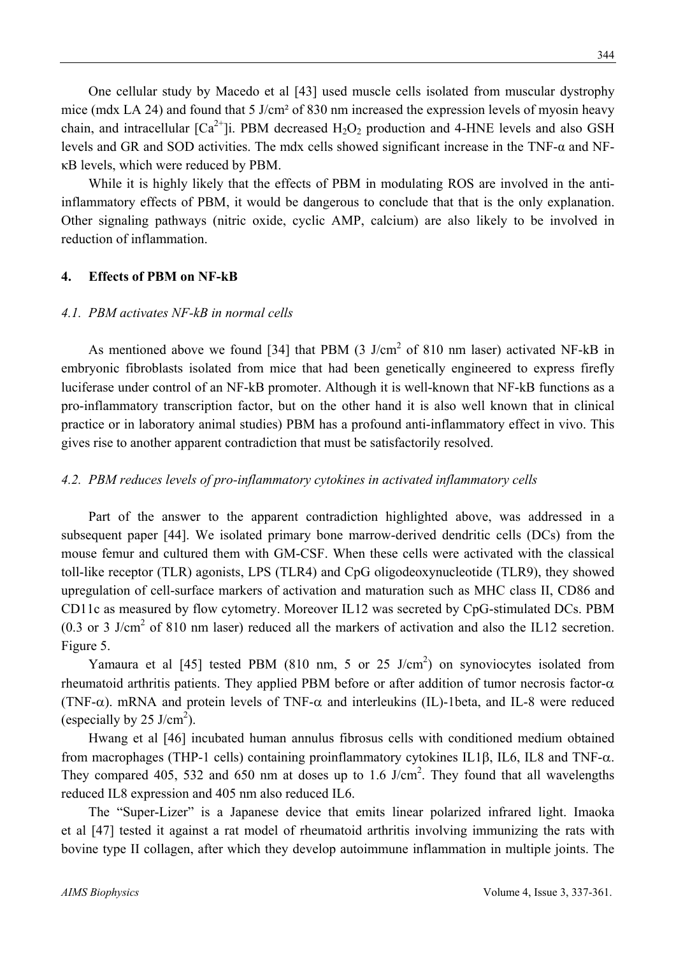One cellular study by Macedo et al [43] used muscle cells isolated from muscular dystrophy mice (mdx LA 24) and found that 5 J/cm² of 830 nm increased the expression levels of myosin heavy chain, and intracellular  $[Ca^{2+}]\i.$  PBM decreased  $H_2O_2$  production and 4-HNE levels and also GSH levels and GR and SOD activities. The mdx cells showed significant increase in the TNF-α and NFκB levels, which were reduced by PBM.

While it is highly likely that the effects of PBM in modulating ROS are involved in the antiinflammatory effects of PBM, it would be dangerous to conclude that that is the only explanation. Other signaling pathways (nitric oxide, cyclic AMP, calcium) are also likely to be involved in reduction of inflammation.

## **4. Effects of PBM on NF-kB**

#### *4.1. PBM activates NF-kB in normal cells*

As mentioned above we found [34] that PBM (3 J/cm<sup>2</sup> of 810 nm laser) activated NF-kB in embryonic fibroblasts isolated from mice that had been genetically engineered to express firefly luciferase under control of an NF-kB promoter. Although it is well-known that NF-kB functions as a pro-inflammatory transcription factor, but on the other hand it is also well known that in clinical practice or in laboratory animal studies) PBM has a profound anti-inflammatory effect in vivo. This gives rise to another apparent contradiction that must be satisfactorily resolved.

# *4.2. PBM reduces levels of pro-inflammatory cytokines in activated inflammatory cells*

Part of the answer to the apparent contradiction highlighted above, was addressed in a subsequent paper [44]. We isolated primary bone marrow-derived dendritic cells (DCs) from the mouse femur and cultured them with GM-CSF. When these cells were activated with the classical toll-like receptor (TLR) agonists, LPS (TLR4) and CpG oligodeoxynucleotide (TLR9), they showed upregulation of cell-surface markers of activation and maturation such as MHC class II, CD86 and CD11c as measured by flow cytometry. Moreover IL12 was secreted by CpG-stimulated DCs. PBM  $(0.3 \text{ or } 3 \text{ J/cm}^2 \text{ of } 810 \text{ nm}$  laser) reduced all the markers of activation and also the IL12 secretion. Figure 5.

Yamaura et al  $[45]$  tested PBM (810 nm, 5 or 25 J/cm<sup>2</sup>) on synoviocytes isolated from rheumatoid arthritis patients. They applied PBM before or after addition of tumor necrosis factor- $\alpha$ (TNF- $\alpha$ ). mRNA and protein levels of TNF- $\alpha$  and interleukins (IL)-1beta, and IL-8 were reduced (especially by 25 J/cm<sup>2</sup>).

Hwang et al [46] incubated human annulus fibrosus cells with conditioned medium obtained from macrophages (THP-1 cells) containing proinflammatory cytokines IL1 $\beta$ , IL6, IL8 and TNF- $\alpha$ . They compared 405, 532 and 650 nm at doses up to 1.6 J/cm<sup>2</sup>. They found that all wavelengths reduced IL8 expression and 405 nm also reduced IL6.

The "Super-Lizer" is a Japanese device that emits linear polarized infrared light. Imaoka et al [47] tested it against a rat model of rheumatoid arthritis involving immunizing the rats with bovine type II collagen, after which they develop autoimmune inflammation in multiple joints. The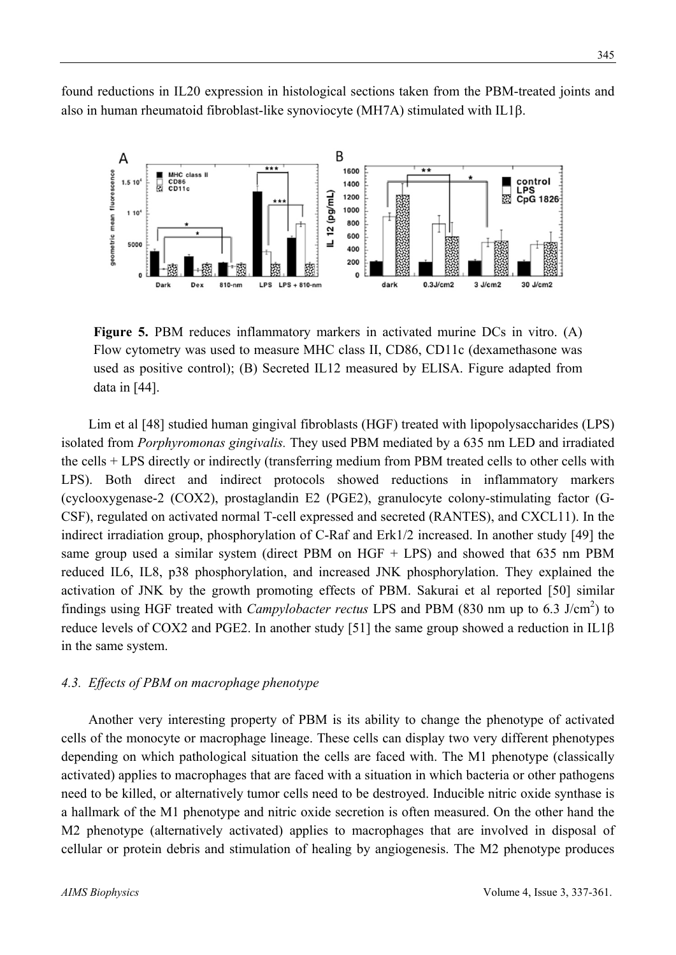found reductions in IL20 expression in histological sections taken from the PBM-treated joints and also in human rheumatoid fibroblast-like synoviocyte (MH7A) stimulated with IL1 $\beta$ .



**Figure 5.** PBM reduces inflammatory markers in activated murine DCs in vitro. (A) Flow cytometry was used to measure MHC class II, CD86, CD11c (dexamethasone was used as positive control); (B) Secreted IL12 measured by ELISA. Figure adapted from data in [44].

Lim et al [48] studied human gingival fibroblasts (HGF) treated with lipopolysaccharides (LPS) isolated from *Porphyromonas gingivalis.* They used PBM mediated by a 635 nm LED and irradiated the cells + LPS directly or indirectly (transferring medium from PBM treated cells to other cells with LPS). Both direct and indirect protocols showed reductions in inflammatory markers (cyclooxygenase-2 (COX2), prostaglandin E2 (PGE2), granulocyte colony-stimulating factor (G-CSF), regulated on activated normal T-cell expressed and secreted (RANTES), and CXCL11). In the indirect irradiation group, phosphorylation of C-Raf and Erk1/2 increased. In another study [49] the same group used a similar system (direct PBM on  $HGF + LPS$ ) and showed that 635 nm PBM reduced IL6, IL8, p38 phosphorylation, and increased JNK phosphorylation. They explained the activation of JNK by the growth promoting effects of PBM. Sakurai et al reported [50] similar findings using HGF treated with *Campylobacter rectus* LPS and PBM (830 nm up to 6.3 J/cm<sup>2</sup>) to reduce levels of COX2 and PGE2. In another study [51] the same group showed a reduction in IL1 $\beta$ in the same system.

# *4.3. Effects of PBM on macrophage phenotype*

Another very interesting property of PBM is its ability to change the phenotype of activated cells of the monocyte or macrophage lineage. These cells can display two very different phenotypes depending on which pathological situation the cells are faced with. The M1 phenotype (classically activated) applies to macrophages that are faced with a situation in which bacteria or other pathogens need to be killed, or alternatively tumor cells need to be destroyed. Inducible nitric oxide synthase is a hallmark of the M1 phenotype and nitric oxide secretion is often measured. On the other hand the M2 phenotype (alternatively activated) applies to macrophages that are involved in disposal of cellular or protein debris and stimulation of healing by angiogenesis. The M2 phenotype produces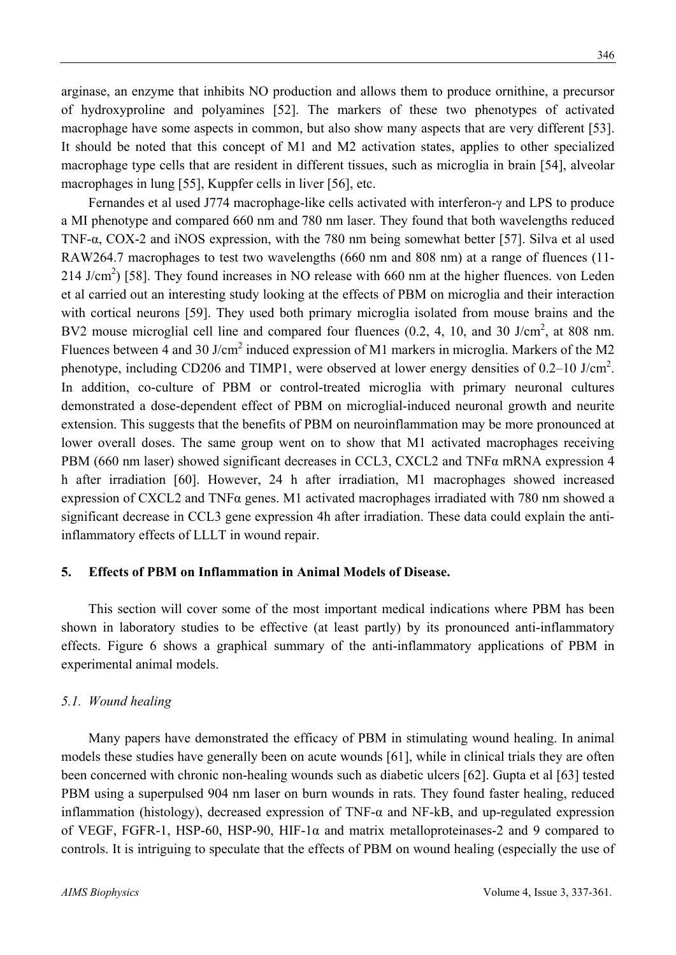arginase, an enzyme that inhibits NO production and allows them to produce ornithine, a precursor of hydroxyproline and polyamines [52]. The markers of these two phenotypes of activated macrophage have some aspects in common, but also show many aspects that are very different [53]. It should be noted that this concept of M1 and M2 activation states, applies to other specialized macrophage type cells that are resident in different tissues, such as microglia in brain [54], alveolar macrophages in lung [55], Kuppfer cells in liver [56], etc.

Fernandes et al used J774 macrophage-like cells activated with interferon- $\gamma$  and LPS to produce a MI phenotype and compared 660 nm and 780 nm laser. They found that both wavelengths reduced TNF-α, COX-2 and iNOS expression, with the 780 nm being somewhat better [57]. Silva et al used RAW264.7 macrophages to test two wavelengths (660 nm and 808 nm) at a range of fluences (11-  $214$  J/cm<sup>2</sup>) [58]. They found increases in NO release with 660 nm at the higher fluences. von Leden et al carried out an interesting study looking at the effects of PBM on microglia and their interaction with cortical neurons [59]. They used both primary microglia isolated from mouse brains and the BV2 mouse microglial cell line and compared four fluences  $(0.2, 4, 10, \text{ and } 30 \text{ J/cm}^2, \text{ at } 808 \text{ nm.}$ Fluences between 4 and 30 J/cm<sup>2</sup> induced expression of M1 markers in microglia. Markers of the M2 phenotype, including CD206 and TIMP1, were observed at lower energy densities of  $0.2-10$  J/cm<sup>2</sup>. In addition, co-culture of PBM or control-treated microglia with primary neuronal cultures demonstrated a dose-dependent effect of PBM on microglial-induced neuronal growth and neurite extension. This suggests that the benefits of PBM on neuroinflammation may be more pronounced at lower overall doses. The same group went on to show that M1 activated macrophages receiving PBM (660 nm laser) showed significant decreases in CCL3, CXCL2 and TNFα mRNA expression 4 h after irradiation [60]. However, 24 h after irradiation, M1 macrophages showed increased expression of CXCL2 and TNFα genes. M1 activated macrophages irradiated with 780 nm showed a significant decrease in CCL3 gene expression 4h after irradiation. These data could explain the antiinflammatory effects of LLLT in wound repair.

# **5. Effects of PBM on Inflammation in Animal Models of Disease.**

This section will cover some of the most important medical indications where PBM has been shown in laboratory studies to be effective (at least partly) by its pronounced anti-inflammatory effects. Figure 6 shows a graphical summary of the anti-inflammatory applications of PBM in experimental animal models.

#### *5.1. Wound healing*

Many papers have demonstrated the efficacy of PBM in stimulating wound healing. In animal models these studies have generally been on acute wounds [61], while in clinical trials they are often been concerned with chronic non-healing wounds such as diabetic ulcers [62]. Gupta et al [63] tested PBM using a superpulsed 904 nm laser on burn wounds in rats. They found faster healing, reduced inflammation (histology), decreased expression of TNF- $\alpha$  and NF-kB, and up-regulated expression of VEGF, FGFR-1, HSP-60, HSP-90, HIF-1 $\alpha$  and matrix metalloproteinases-2 and 9 compared to controls. It is intriguing to speculate that the effects of PBM on wound healing (especially the use of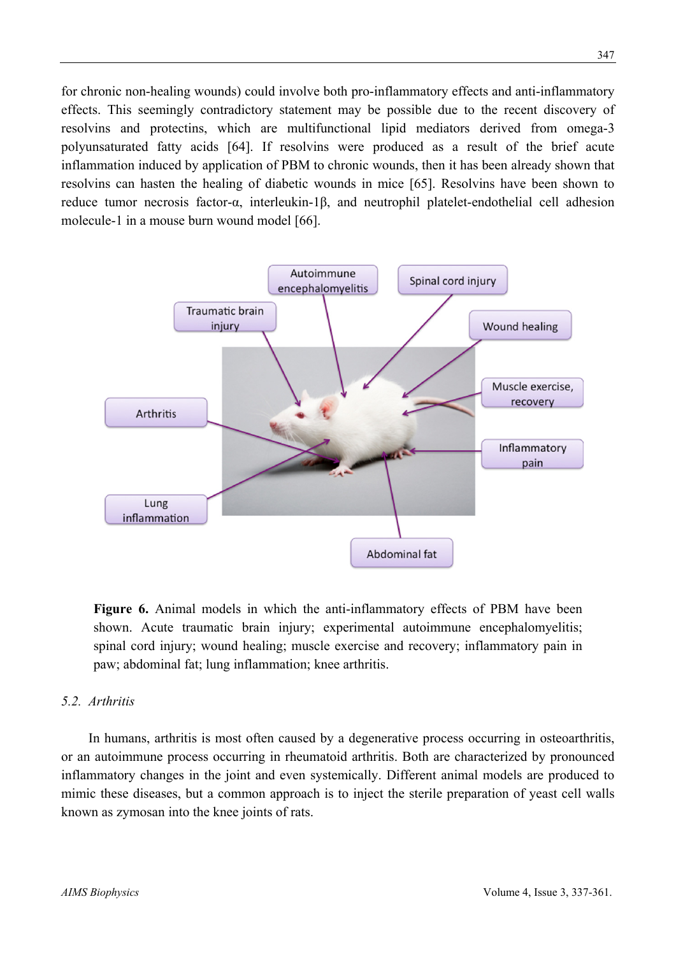for chronic non-healing wounds) could involve both pro-inflammatory effects and anti-inflammatory effects. This seemingly contradictory statement may be possible due to the recent discovery of resolvins and protectins, which are multifunctional lipid mediators derived from omega-3 polyunsaturated fatty acids [64]. If resolvins were produced as a result of the brief acute inflammation induced by application of PBM to chronic wounds, then it has been already shown that resolvins can hasten the healing of diabetic wounds in mice [65]. Resolvins have been shown to reduce tumor necrosis factor-α, interleukin-1β, and neutrophil platelet-endothelial cell adhesion molecule-1 in a mouse burn wound model [66].



**Figure 6.** Animal models in which the anti-inflammatory effects of PBM have been shown. Acute traumatic brain injury; experimental autoimmune encephalomyelitis; spinal cord injury; wound healing; muscle exercise and recovery; inflammatory pain in paw; abdominal fat; lung inflammation; knee arthritis.

# *5.2. Arthritis*

In humans, arthritis is most often caused by a degenerative process occurring in osteoarthritis, or an autoimmune process occurring in rheumatoid arthritis. Both are characterized by pronounced inflammatory changes in the joint and even systemically. Different animal models are produced to mimic these diseases, but a common approach is to inject the sterile preparation of yeast cell walls known as zymosan into the knee joints of rats.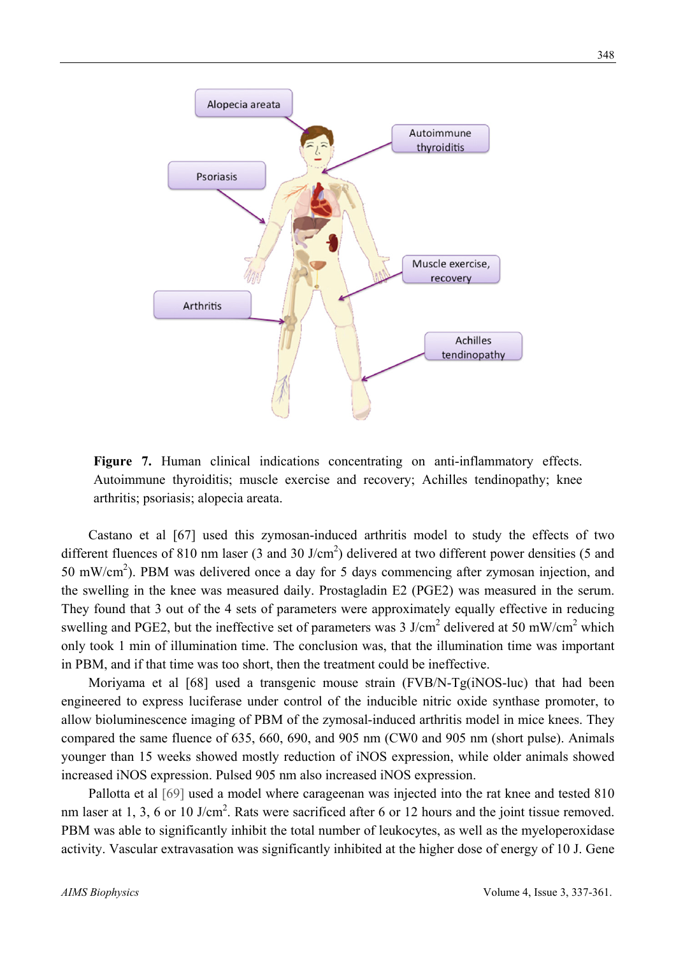

**Figure 7.** Human clinical indications concentrating on anti-inflammatory effects. Autoimmune thyroiditis; muscle exercise and recovery; Achilles tendinopathy; knee arthritis; psoriasis; alopecia areata.

Castano et al [67] used this zymosan-induced arthritis model to study the effects of two different fluences of 810 nm laser (3 and 30 J/cm<sup>2</sup>) delivered at two different power densities (5 and 50 mW/cm<sup>2</sup>). PBM was delivered once a day for 5 days commencing after zymosan injection, and the swelling in the knee was measured daily. Prostagladin E2 (PGE2) was measured in the serum. They found that 3 out of the 4 sets of parameters were approximately equally effective in reducing swelling and PGE2, but the ineffective set of parameters was 3 J/cm<sup>2</sup> delivered at 50 mW/cm<sup>2</sup> which only took 1 min of illumination time. The conclusion was, that the illumination time was important in PBM, and if that time was too short, then the treatment could be ineffective.

Moriyama et al [68] used a transgenic mouse strain (FVB/N-Tg(iNOS-luc) that had been engineered to express luciferase under control of the inducible nitric oxide synthase promoter, to allow bioluminescence imaging of PBM of the zymosal-induced arthritis model in mice knees. They compared the same fluence of 635, 660, 690, and 905 nm (CW0 and 905 nm (short pulse). Animals younger than 15 weeks showed mostly reduction of iNOS expression, while older animals showed increased iNOS expression. Pulsed 905 nm also increased iNOS expression.

Pallotta et al [69] used a model where carageenan was injected into the rat knee and tested 810 nm laser at 1, 3, 6 or 10 J/cm<sup>2</sup>. Rats were sacrificed after 6 or 12 hours and the joint tissue removed. PBM was able to significantly inhibit the total number of leukocytes, as well as the myeloperoxidase activity. Vascular extravasation was significantly inhibited at the higher dose of energy of 10 J. Gene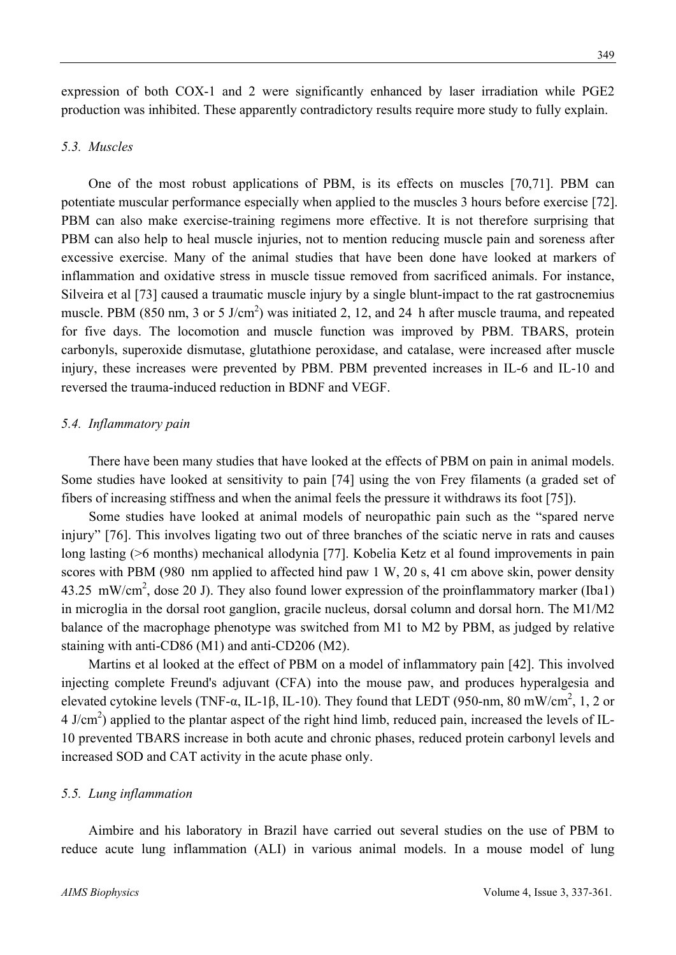expression of both COX-1 and 2 were significantly enhanced by laser irradiation while PGE2 production was inhibited. These apparently contradictory results require more study to fully explain.

## *5.3. Muscles*

One of the most robust applications of PBM, is its effects on muscles [70,71]. PBM can potentiate muscular performance especially when applied to the muscles 3 hours before exercise [72]. PBM can also make exercise-training regimens more effective. It is not therefore surprising that PBM can also help to heal muscle injuries, not to mention reducing muscle pain and soreness after excessive exercise. Many of the animal studies that have been done have looked at markers of inflammation and oxidative stress in muscle tissue removed from sacrificed animals. For instance, Silveira et al [73] caused a traumatic muscle injury by a single blunt-impact to the rat gastrocnemius muscle. PBM (850 nm, 3 or 5 J/cm<sup>2</sup>) was initiated 2, 12, and 24 h after muscle trauma, and repeated for five days. The locomotion and muscle function was improved by PBM. TBARS, protein carbonyls, superoxide dismutase, glutathione peroxidase, and catalase, were increased after muscle injury, these increases were prevented by PBM. PBM prevented increases in IL-6 and IL-10 and reversed the trauma-induced reduction in BDNF and VEGF.

#### *5.4. Inflammatory pain*

There have been many studies that have looked at the effects of PBM on pain in animal models. Some studies have looked at sensitivity to pain [74] using the von Frey filaments (a graded set of fibers of increasing stiffness and when the animal feels the pressure it withdraws its foot [75]).

Some studies have looked at animal models of neuropathic pain such as the "spared nerve injury" [76]. This involves ligating two out of three branches of the sciatic nerve in rats and causes long lasting (>6 months) mechanical allodynia [77]. Kobelia Ketz et al found improvements in pain scores with PBM (980 nm applied to affected hind paw 1 W, 20 s, 41 cm above skin, power density 43.25 mW/cm<sup>2</sup>, dose 20 J). They also found lower expression of the proinflammatory marker (Iba1) in microglia in the dorsal root ganglion, gracile nucleus, dorsal column and dorsal horn. The M1/M2 balance of the macrophage phenotype was switched from M1 to M2 by PBM, as judged by relative staining with anti-CD86 (M1) and anti-CD206 (M2).

Martins et al looked at the effect of PBM on a model of inflammatory pain [42]. This involved injecting complete Freund's adjuvant (CFA) into the mouse paw, and produces hyperalgesia and elevated cytokine levels (TNF- $\alpha$ , IL-1 $\beta$ , IL-10). They found that LEDT (950-nm, 80 mW/cm<sup>2</sup>, 1, 2 or  $4 \text{ J/cm}^2$ ) applied to the plantar aspect of the right hind limb, reduced pain, increased the levels of IL-10 prevented TBARS increase in both acute and chronic phases, reduced protein carbonyl levels and increased SOD and CAT activity in the acute phase only.

#### *5.5. Lung inflammation*

Aimbire and his laboratory in Brazil have carried out several studies on the use of PBM to reduce acute lung inflammation (ALI) in various animal models. In a mouse model of lung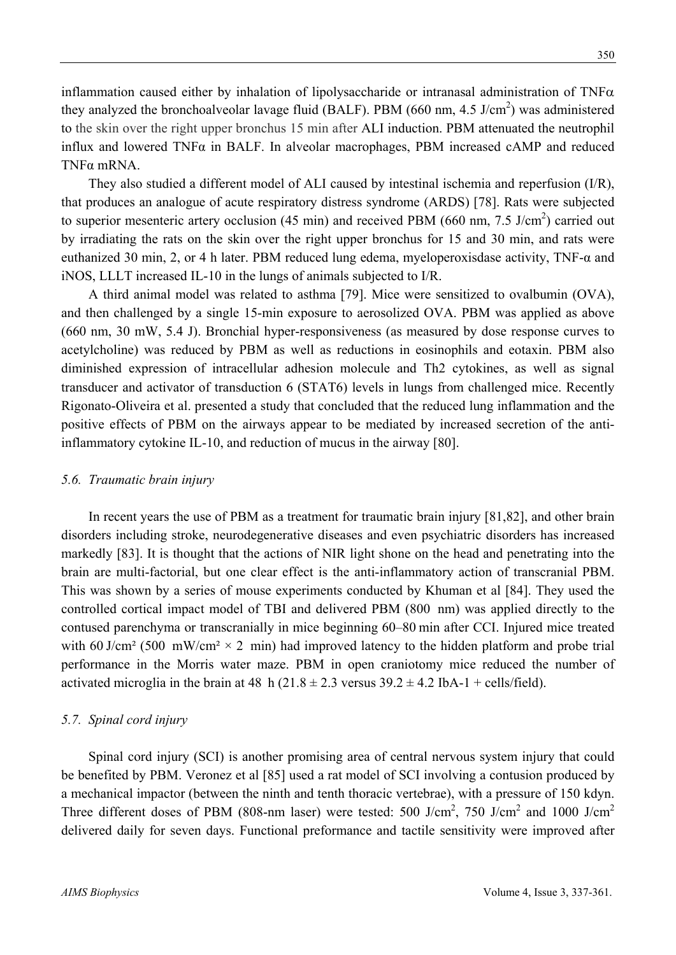inflammation caused either by inhalation of lipolysaccharide or intranasal administration of  $TNF\alpha$ they analyzed the bronchoalveolar lavage fluid (BALF). PBM (660 nm, 4.5 J/cm<sup>2</sup>) was administered to the skin over the right upper bronchus 15 min after ALI induction. PBM attenuated the neutrophil influx and lowered TNF $\alpha$  in BALF. In alveolar macrophages, PBM increased cAMP and reduced TNFα mRNA.

They also studied a different model of ALI caused by intestinal ischemia and reperfusion (I/R), that produces an analogue of acute respiratory distress syndrome (ARDS) [78]. Rats were subjected to superior mesenteric artery occlusion (45 min) and received PBM (660 nm, 7.5 J/cm<sup>2</sup>) carried out by irradiating the rats on the skin over the right upper bronchus for 15 and 30 min, and rats were euthanized 30 min, 2, or 4 h later. PBM reduced lung edema, myeloperoxisdase activity, TNF-α and iNOS, LLLT increased IL-10 in the lungs of animals subjected to I/R.

A third animal model was related to asthma [79]. Mice were sensitized to ovalbumin (OVA), and then challenged by a single 15-min exposure to aerosolized OVA. PBM was applied as above (660 nm, 30 mW, 5.4 J). Bronchial hyper-responsiveness (as measured by dose response curves to acetylcholine) was reduced by PBM as well as reductions in eosinophils and eotaxin. PBM also diminished expression of intracellular adhesion molecule and Th2 cytokines, as well as signal transducer and activator of transduction 6 (STAT6) levels in lungs from challenged mice. Recently Rigonato-Oliveira et al. presented a study that concluded that the reduced lung inflammation and the positive effects of PBM on the airways appear to be mediated by increased secretion of the antiinflammatory cytokine IL-10, and reduction of mucus in the airway [80].

#### *5.6. Traumatic brain injury*

In recent years the use of PBM as a treatment for traumatic brain injury [81,82], and other brain disorders including stroke, neurodegenerative diseases and even psychiatric disorders has increased markedly [83]. It is thought that the actions of NIR light shone on the head and penetrating into the brain are multi-factorial, but one clear effect is the anti-inflammatory action of transcranial PBM. This was shown by a series of mouse experiments conducted by Khuman et al [84]. They used the controlled cortical impact model of TBI and delivered PBM (800 nm) was applied directly to the contused parenchyma or transcranially in mice beginning 60–80 min after CCI. Injured mice treated with 60 J/cm² (500 mW/cm²  $\times$  2 min) had improved latency to the hidden platform and probe trial performance in the Morris water maze. PBM in open craniotomy mice reduced the number of activated microglia in the brain at 48 h ( $21.8 \pm 2.3$  versus  $39.2 \pm 4.2$  IbA-1 + cells/field).

#### *5.7. Spinal cord injury*

Spinal cord injury (SCI) is another promising area of central nervous system injury that could be benefited by PBM. Veronez et al [85] used a rat model of SCI involving a contusion produced by a mechanical impactor (between the ninth and tenth thoracic vertebrae), with a pressure of 150 kdyn. Three different doses of PBM (808-nm laser) were tested: 500 J/cm<sup>2</sup>, 750 J/cm<sup>2</sup> and 1000 J/cm<sup>2</sup> delivered daily for seven days. Functional preformance and tactile sensitivity were improved after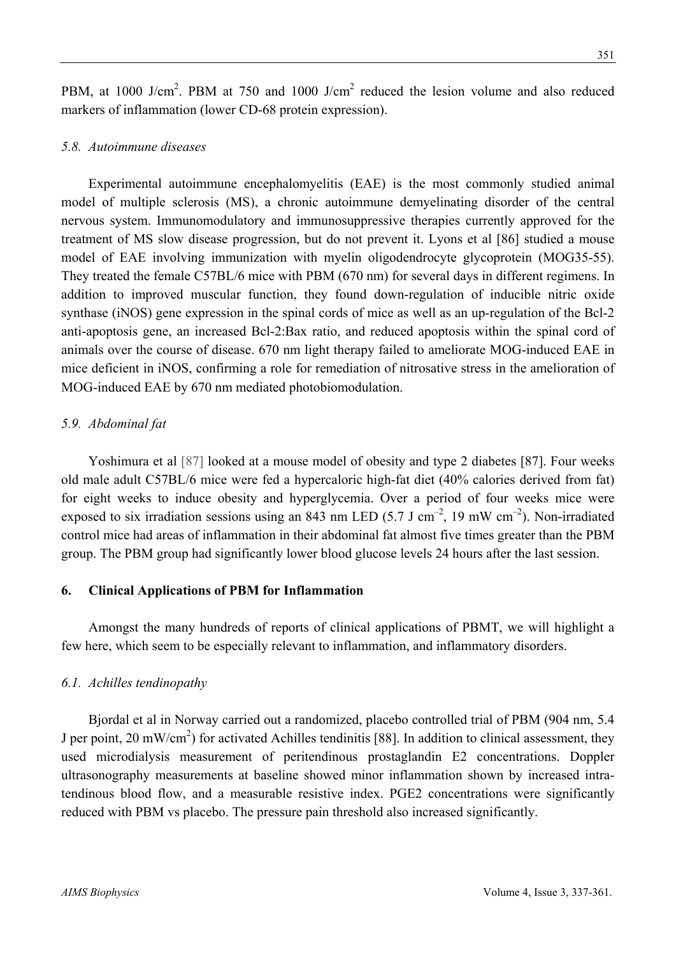PBM, at 1000 J/cm<sup>2</sup>. PBM at 750 and 1000 J/cm<sup>2</sup> reduced the lesion volume and also reduced markers of inflammation (lower CD-68 protein expression).

#### *5.8. Autoimmune diseases*

Experimental autoimmune encephalomyelitis (EAE) is the most commonly studied animal model of multiple sclerosis (MS), a chronic autoimmune demyelinating disorder of the central nervous system. Immunomodulatory and immunosuppressive therapies currently approved for the treatment of MS slow disease progression, but do not prevent it. Lyons et al [86] studied a mouse model of EAE involving immunization with myelin oligodendrocyte glycoprotein (MOG35-55). They treated the female C57BL/6 mice with PBM (670 nm) for several days in different regimens. In addition to improved muscular function, they found down-regulation of inducible nitric oxide synthase (iNOS) gene expression in the spinal cords of mice as well as an up-regulation of the Bcl-2 anti-apoptosis gene, an increased Bcl-2:Bax ratio, and reduced apoptosis within the spinal cord of animals over the course of disease. 670 nm light therapy failed to ameliorate MOG-induced EAE in mice deficient in iNOS, confirming a role for remediation of nitrosative stress in the amelioration of MOG-induced EAE by 670 nm mediated photobiomodulation.

#### *5.9. Abdominal fat*

Yoshimura et al [87] looked at a mouse model of obesity and type 2 diabetes [87]. Four weeks old male adult C57BL/6 mice were fed a hypercaloric high-fat diet (40% calories derived from fat) for eight weeks to induce obesity and hyperglycemia. Over a period of four weeks mice were exposed to six irradiation sessions using an 843 nm LED (5.7 J cm<sup>-2</sup>, 19 mW cm<sup>-2</sup>). Non-irradiated control mice had areas of inflammation in their abdominal fat almost five times greater than the PBM group. The PBM group had significantly lower blood glucose levels 24 hours after the last session.

#### **6. Clinical Applications of PBM for Inflammation**

Amongst the many hundreds of reports of clinical applications of PBMT, we will highlight a few here, which seem to be especially relevant to inflammation, and inflammatory disorders.

#### *6.1. Achilles tendinopathy*

Bjordal et al in Norway carried out a randomized, placebo controlled trial of PBM (904 nm, 5.4 J per point, 20 mW/cm<sup>2</sup>) for activated Achilles tendinitis [88]. In addition to clinical assessment, they used microdialysis measurement of peritendinous prostaglandin E2 concentrations. Doppler ultrasonography measurements at baseline showed minor inflammation shown by increased intratendinous blood flow, and a measurable resistive index. PGE2 concentrations were significantly reduced with PBM vs placebo. The pressure pain threshold also increased significantly.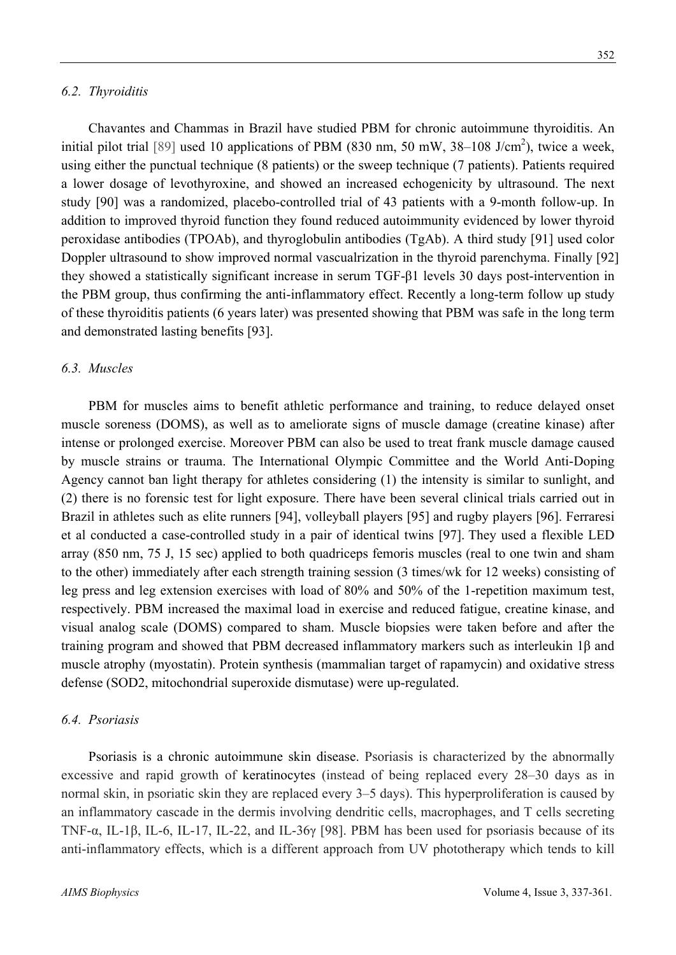#### *6.2. Thyroiditis*

Chavantes and Chammas in Brazil have studied PBM for chronic autoimmune thyroiditis. An initial pilot trial [89] used 10 applications of PBM (830 nm, 50 mW, 38–108 J/cm<sup>2</sup>), twice a week, using either the punctual technique (8 patients) or the sweep technique (7 patients). Patients required a lower dosage of levothyroxine, and showed an increased echogenicity by ultrasound. The next study [90] was a randomized, placebo-controlled trial of 43 patients with a 9-month follow-up. In addition to improved thyroid function they found reduced autoimmunity evidenced by lower thyroid peroxidase antibodies (TPOAb), and thyroglobulin antibodies (TgAb). A third study [91] used color Doppler ultrasound to show improved normal vascualrization in the thyroid parenchyma. Finally [92] they showed a statistically significant increase in serum TGF-β1 levels 30 days post-intervention in the PBM group, thus confirming the anti-inflammatory effect. Recently a long-term follow up study of these thyroiditis patients (6 years later) was presented showing that PBM was safe in the long term and demonstrated lasting benefits [93].

# *6.3. Muscles*

PBM for muscles aims to benefit athletic performance and training, to reduce delayed onset muscle soreness (DOMS), as well as to ameliorate signs of muscle damage (creatine kinase) after intense or prolonged exercise. Moreover PBM can also be used to treat frank muscle damage caused by muscle strains or trauma. The International Olympic Committee and the World Anti-Doping Agency cannot ban light therapy for athletes considering (1) the intensity is similar to sunlight, and (2) there is no forensic test for light exposure. There have been several clinical trials carried out in Brazil in athletes such as elite runners [94], volleyball players [95] and rugby players [96]. Ferraresi et al conducted a case-controlled study in a pair of identical twins [97]. They used a flexible LED array (850 nm, 75 J, 15 sec) applied to both quadriceps femoris muscles (real to one twin and sham to the other) immediately after each strength training session (3 times/wk for 12 weeks) consisting of leg press and leg extension exercises with load of 80% and 50% of the 1-repetition maximum test, respectively. PBM increased the maximal load in exercise and reduced fatigue, creatine kinase, and visual analog scale (DOMS) compared to sham. Muscle biopsies were taken before and after the training program and showed that PBM decreased inflammatory markers such as interleukin 1β and muscle atrophy (myostatin). Protein synthesis (mammalian target of rapamycin) and oxidative stress defense (SOD2, mitochondrial superoxide dismutase) were up-regulated.

#### *6.4. Psoriasis*

Psoriasis is a chronic autoimmune skin disease. Psoriasis is characterized by the abnormally excessive and rapid growth of keratinocytes (instead of being replaced every 28–30 days as in normal skin, in psoriatic skin they are replaced every 3–5 days). This hyperproliferation is caused by an inflammatory cascade in the dermis involving dendritic cells, macrophages, and T cells secreting TNF-α, IL-1β, IL-6, IL-17, IL-22, and IL-36γ [98]. PBM has been used for psoriasis because of its anti-inflammatory effects, which is a different approach from UV phototherapy which tends to kill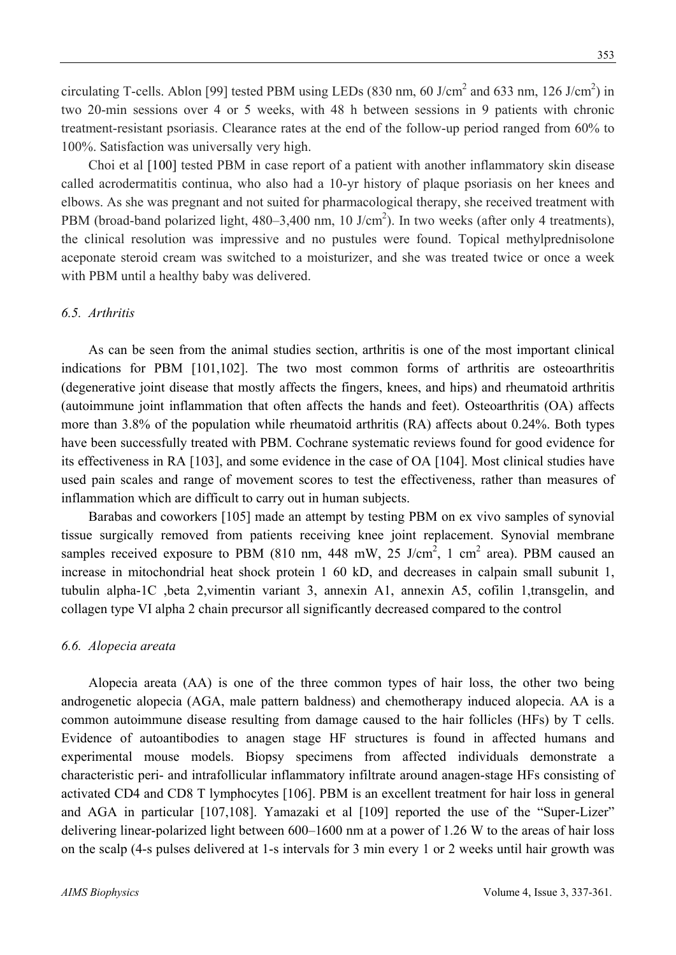circulating T-cells. Ablon [99] tested PBM using LEDs (830 nm, 60 J/cm<sup>2</sup> and 633 nm, 126 J/cm<sup>2</sup>) in two 20-min sessions over 4 or 5 weeks, with 48 h between sessions in 9 patients with chronic treatment-resistant psoriasis. Clearance rates at the end of the follow-up period ranged from 60% to 100%. Satisfaction was universally very high.

Choi et al [100] tested PBM in case report of a patient with another inflammatory skin disease called acrodermatitis continua, who also had a 10-yr history of plaque psoriasis on her knees and elbows. As she was pregnant and not suited for pharmacological therapy, she received treatment with PBM (broad-band polarized light,  $480-3,400$  nm,  $10 \text{ J/cm}^2$ ). In two weeks (after only 4 treatments), the clinical resolution was impressive and no pustules were found. Topical methylprednisolone aceponate steroid cream was switched to a moisturizer, and she was treated twice or once a week with PBM until a healthy baby was delivered.

#### *6.5. Arthritis*

As can be seen from the animal studies section, arthritis is one of the most important clinical indications for PBM [101,102]. The two most common forms of arthritis are osteoarthritis (degenerative joint disease that mostly affects the fingers, knees, and hips) and rheumatoid arthritis (autoimmune joint inflammation that often affects the hands and feet). Osteoarthritis (OA) affects more than 3.8% of the population while rheumatoid arthritis (RA) affects about 0.24%. Both types have been successfully treated with PBM. Cochrane systematic reviews found for good evidence for its effectiveness in RA [103], and some evidence in the case of OA [104]. Most clinical studies have used pain scales and range of movement scores to test the effectiveness, rather than measures of inflammation which are difficult to carry out in human subjects.

Barabas and coworkers [105] made an attempt by testing PBM on ex vivo samples of synovial tissue surgically removed from patients receiving knee joint replacement. Synovial membrane samples received exposure to PBM (810 nm, 448 mW, 25 J/cm<sup>2</sup>, 1 cm<sup>2</sup> area). PBM caused an increase in mitochondrial heat shock protein 1 60 kD, and decreases in calpain small subunit 1, tubulin alpha-1C ,beta 2,vimentin variant 3, annexin A1, annexin A5, cofilin 1,transgelin, and collagen type VI alpha 2 chain precursor all significantly decreased compared to the control

#### *6.6. Alopecia areata*

Alopecia areata (AA) is one of the three common types of hair loss, the other two being androgenetic alopecia (AGA, male pattern baldness) and chemotherapy induced alopecia. AA is a common autoimmune disease resulting from damage caused to the hair follicles (HFs) by T cells. Evidence of autoantibodies to anagen stage HF structures is found in affected humans and experimental mouse models. Biopsy specimens from affected individuals demonstrate a characteristic peri- and intrafollicular inflammatory infiltrate around anagen-stage HFs consisting of activated CD4 and CD8 T lymphocytes [106]. PBM is an excellent treatment for hair loss in general and AGA in particular [107,108]. Yamazaki et al [109] reported the use of the "Super-Lizer" delivering linear-polarized light between 600–1600 nm at a power of 1.26 W to the areas of hair loss on the scalp (4-s pulses delivered at 1-s intervals for 3 min every 1 or 2 weeks until hair growth was

353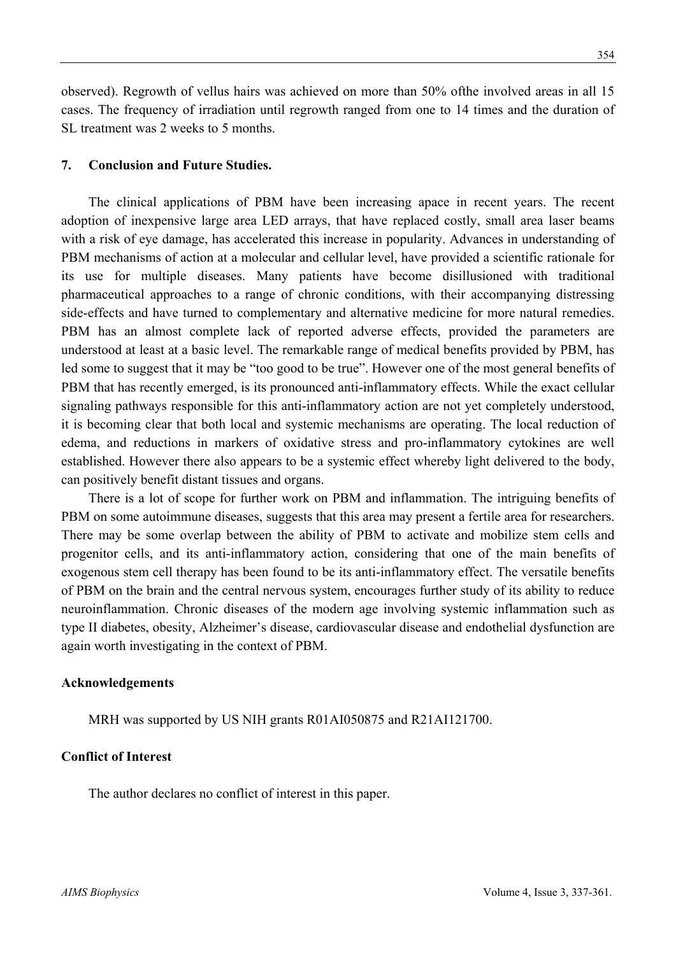observed). Regrowth of vellus hairs was achieved on more than 50% ofthe involved areas in all 15 cases. The frequency of irradiation until regrowth ranged from one to 14 times and the duration of SL treatment was 2 weeks to 5 months.

# **7. Conclusion and Future Studies.**

The clinical applications of PBM have been increasing apace in recent years. The recent adoption of inexpensive large area LED arrays, that have replaced costly, small area laser beams with a risk of eye damage, has accelerated this increase in popularity. Advances in understanding of PBM mechanisms of action at a molecular and cellular level, have provided a scientific rationale for its use for multiple diseases. Many patients have become disillusioned with traditional pharmaceutical approaches to a range of chronic conditions, with their accompanying distressing side-effects and have turned to complementary and alternative medicine for more natural remedies. PBM has an almost complete lack of reported adverse effects, provided the parameters are understood at least at a basic level. The remarkable range of medical benefits provided by PBM, has led some to suggest that it may be "too good to be true". However one of the most general benefits of PBM that has recently emerged, is its pronounced anti-inflammatory effects. While the exact cellular signaling pathways responsible for this anti-inflammatory action are not yet completely understood, it is becoming clear that both local and systemic mechanisms are operating. The local reduction of edema, and reductions in markers of oxidative stress and pro-inflammatory cytokines are well established. However there also appears to be a systemic effect whereby light delivered to the body, can positively benefit distant tissues and organs.

There is a lot of scope for further work on PBM and inflammation. The intriguing benefits of PBM on some autoimmune diseases, suggests that this area may present a fertile area for researchers. There may be some overlap between the ability of PBM to activate and mobilize stem cells and progenitor cells, and its anti-inflammatory action, considering that one of the main benefits of exogenous stem cell therapy has been found to be its anti-inflammatory effect. The versatile benefits of PBM on the brain and the central nervous system, encourages further study of its ability to reduce neuroinflammation. Chronic diseases of the modern age involving systemic inflammation such as type II diabetes, obesity, Alzheimer's disease, cardiovascular disease and endothelial dysfunction are again worth investigating in the context of PBM.

# **Acknowledgements**

MRH was supported by US NIH grants R01AI050875 and R21AI121700.

# **Conflict of Interest**

The author declares no conflict of interest in this paper.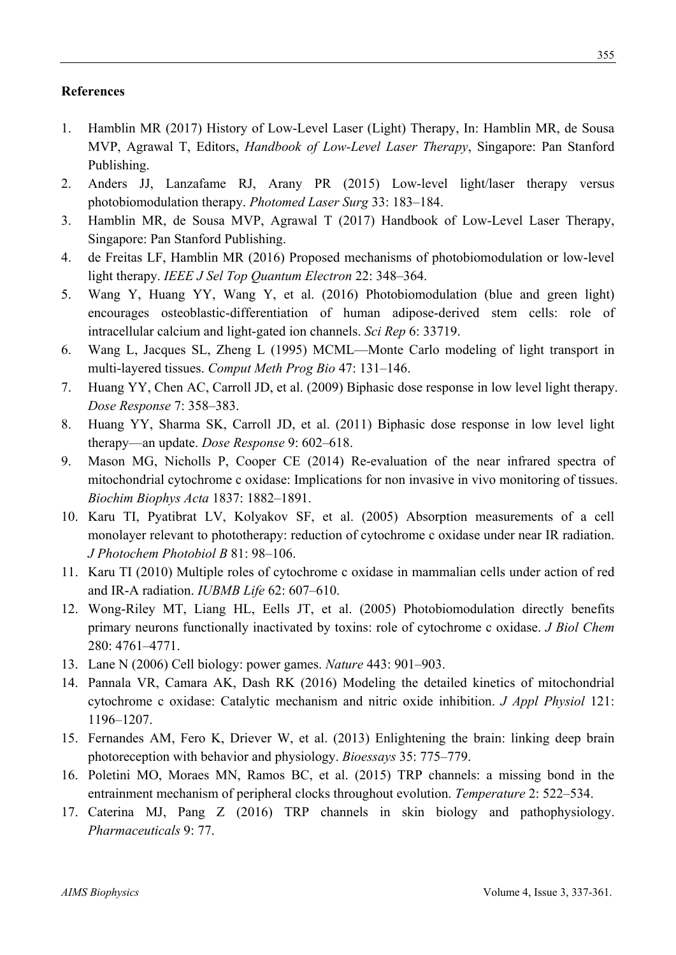# **References**

- 1. Hamblin MR (2017) History of Low-Level Laser (Light) Therapy, In: Hamblin MR, de Sousa MVP, Agrawal T, Editors, *Handbook of Low-Level Laser Therapy*, Singapore: Pan Stanford Publishing.
- 2. Anders JJ, Lanzafame RJ, Arany PR (2015) Low-level light/laser therapy versus photobiomodulation therapy. *Photomed Laser Surg* 33: 183–184.
- 3. Hamblin MR, de Sousa MVP, Agrawal T (2017) Handbook of Low-Level Laser Therapy, Singapore: Pan Stanford Publishing.
- 4. de Freitas LF, Hamblin MR (2016) Proposed mechanisms of photobiomodulation or low-level light therapy. *IEEE J Sel Top Quantum Electron* 22: 348–364.
- 5. Wang Y, Huang YY, Wang Y, et al. (2016) Photobiomodulation (blue and green light) encourages osteoblastic-differentiation of human adipose-derived stem cells: role of intracellular calcium and light-gated ion channels. *Sci Rep* 6: 33719.
- 6. Wang L, Jacques SL, Zheng L (1995) MCML—Monte Carlo modeling of light transport in multi-layered tissues. *Comput Meth Prog Bio* 47: 131–146.
- 7. Huang YY, Chen AC, Carroll JD, et al. (2009) Biphasic dose response in low level light therapy. *Dose Response* 7: 358–383.
- 8. Huang YY, Sharma SK, Carroll JD, et al. (2011) Biphasic dose response in low level light therapy—an update. *Dose Response* 9: 602–618.
- 9. Mason MG, Nicholls P, Cooper CE (2014) Re-evaluation of the near infrared spectra of mitochondrial cytochrome c oxidase: Implications for non invasive in vivo monitoring of tissues. *Biochim Biophys Acta* 1837: 1882–1891.
- 10. Karu TI, Pyatibrat LV, Kolyakov SF, et al. (2005) Absorption measurements of a cell monolayer relevant to phototherapy: reduction of cytochrome c oxidase under near IR radiation. *J Photochem Photobiol B* 81: 98–106.
- 11. Karu TI (2010) Multiple roles of cytochrome c oxidase in mammalian cells under action of red and IR-A radiation. *IUBMB Life* 62: 607–610.
- 12. Wong-Riley MT, Liang HL, Eells JT, et al. (2005) Photobiomodulation directly benefits primary neurons functionally inactivated by toxins: role of cytochrome c oxidase. *J Biol Chem* 280: 4761–4771.
- 13. Lane N (2006) Cell biology: power games. *Nature* 443: 901–903.
- 14. Pannala VR, Camara AK, Dash RK (2016) Modeling the detailed kinetics of mitochondrial cytochrome c oxidase: Catalytic mechanism and nitric oxide inhibition. *J Appl Physiol* 121: 1196–1207.
- 15. Fernandes AM, Fero K, Driever W, et al. (2013) Enlightening the brain: linking deep brain photoreception with behavior and physiology. *Bioessays* 35: 775–779.
- 16. Poletini MO, Moraes MN, Ramos BC, et al. (2015) TRP channels: a missing bond in the entrainment mechanism of peripheral clocks throughout evolution. *Temperature* 2: 522–534.
- 17. Caterina MJ, Pang Z (2016) TRP channels in skin biology and pathophysiology. *Pharmaceuticals* 9: 77.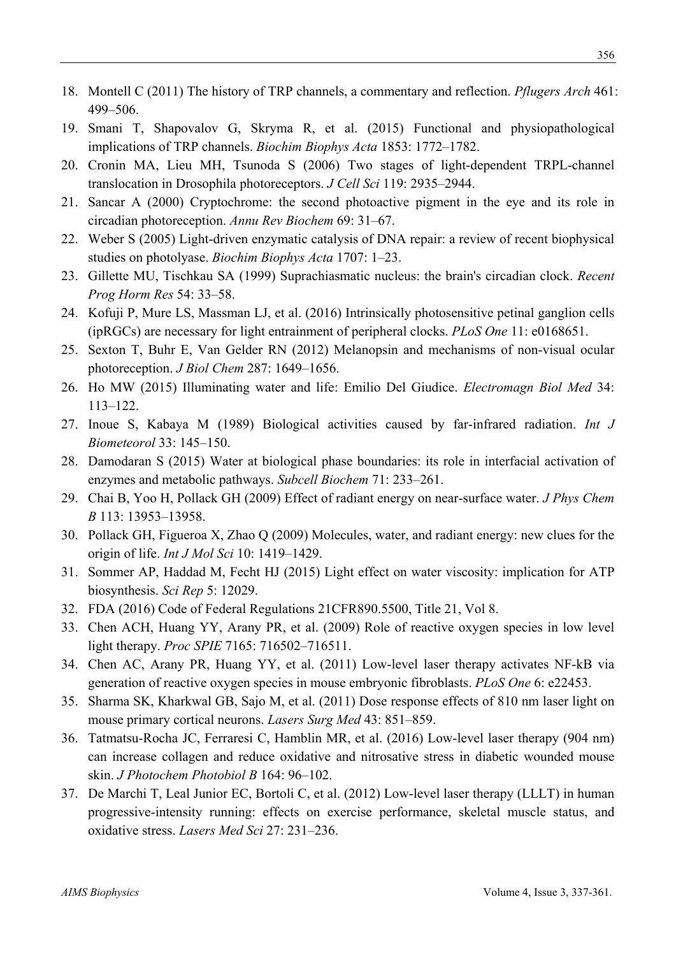- 18. Montell C (2011) The history of TRP channels, a commentary and reflection. *Pflugers Arch* 461: 499–506.
- 19. Smani T, Shapovalov G, Skryma R, et al. (2015) Functional and physiopathological implications of TRP channels. *Biochim Biophys Acta* 1853: 1772–1782.
- 20. Cronin MA, Lieu MH, Tsunoda S (2006) Two stages of light-dependent TRPL-channel translocation in Drosophila photoreceptors. *J Cell Sci* 119: 2935–2944.
- 21. Sancar A (2000) Cryptochrome: the second photoactive pigment in the eye and its role in circadian photoreception. *Annu Rev Biochem* 69: 31–67.
- 22. Weber S (2005) Light-driven enzymatic catalysis of DNA repair: a review of recent biophysical studies on photolyase. *Biochim Biophys Acta* 1707: 1–23.
- 23. Gillette MU, Tischkau SA (1999) Suprachiasmatic nucleus: the brain's circadian clock. *Recent Prog Horm Res* 54: 33–58.
- 24. Kofuji P, Mure LS, Massman LJ, et al. (2016) Intrinsically photosensitive petinal ganglion cells (ipRGCs) are necessary for light entrainment of peripheral clocks. *PLoS One* 11: e0168651.
- 25. Sexton T, Buhr E, Van Gelder RN (2012) Melanopsin and mechanisms of non-visual ocular photoreception. *J Biol Chem* 287: 1649–1656.
- 26. Ho MW (2015) Illuminating water and life: Emilio Del Giudice. *Electromagn Biol Med* 34: 113–122.
- 27. Inoue S, Kabaya M (1989) Biological activities caused by far-infrared radiation. *Int J Biometeorol* 33: 145–150.
- 28. Damodaran S (2015) Water at biological phase boundaries: its role in interfacial activation of enzymes and metabolic pathways. *Subcell Biochem* 71: 233–261.
- 29. Chai B, Yoo H, Pollack GH (2009) Effect of radiant energy on near-surface water. *J Phys Chem B* 113: 13953–13958.
- 30. Pollack GH, Figueroa X, Zhao Q (2009) Molecules, water, and radiant energy: new clues for the origin of life. *Int J Mol Sci* 10: 1419–1429.
- 31. Sommer AP, Haddad M, Fecht HJ (2015) Light effect on water viscosity: implication for ATP biosynthesis. *Sci Rep* 5: 12029.
- 32. FDA (2016) Code of Federal Regulations 21CFR890.5500, Title 21, Vol 8.
- 33. Chen ACH, Huang YY, Arany PR, et al. (2009) Role of reactive oxygen species in low level light therapy. *Proc SPIE* 7165: 716502–716511.
- 34. Chen AC, Arany PR, Huang YY, et al. (2011) Low-level laser therapy activates NF-kB via generation of reactive oxygen species in mouse embryonic fibroblasts. *PLoS One* 6: e22453.
- 35. Sharma SK, Kharkwal GB, Sajo M, et al. (2011) Dose response effects of 810 nm laser light on mouse primary cortical neurons. *Lasers Surg Med* 43: 851–859.
- 36. Tatmatsu-Rocha JC, Ferraresi C, Hamblin MR, et al. (2016) Low-level laser therapy (904 nm) can increase collagen and reduce oxidative and nitrosative stress in diabetic wounded mouse skin. *J Photochem Photobiol B* 164: 96–102.
- 37. De Marchi T, Leal Junior EC, Bortoli C, et al. (2012) Low-level laser therapy (LLLT) in human progressive-intensity running: effects on exercise performance, skeletal muscle status, and oxidative stress. *Lasers Med Sci* 27: 231–236.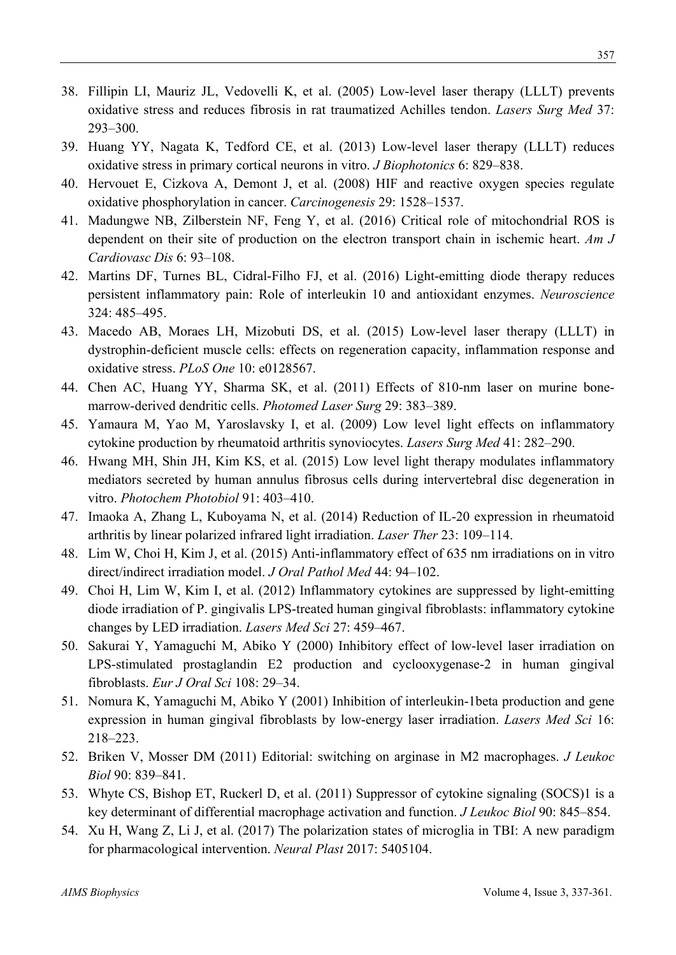- 38. Fillipin LI, Mauriz JL, Vedovelli K, et al. (2005) Low-level laser therapy (LLLT) prevents oxidative stress and reduces fibrosis in rat traumatized Achilles tendon. *Lasers Surg Med* 37: 293–300.
- 39. Huang YY, Nagata K, Tedford CE, et al. (2013) Low-level laser therapy (LLLT) reduces oxidative stress in primary cortical neurons in vitro. *J Biophotonics* 6: 829–838.
- 40. Hervouet E, Cizkova A, Demont J, et al. (2008) HIF and reactive oxygen species regulate oxidative phosphorylation in cancer. *Carcinogenesis* 29: 1528–1537.
- 41. Madungwe NB, Zilberstein NF, Feng Y, et al. (2016) Critical role of mitochondrial ROS is dependent on their site of production on the electron transport chain in ischemic heart. *Am J Cardiovasc Dis* 6: 93–108.
- 42. Martins DF, Turnes BL, Cidral-Filho FJ, et al. (2016) Light-emitting diode therapy reduces persistent inflammatory pain: Role of interleukin 10 and antioxidant enzymes. *Neuroscience* 324: 485–495.
- 43. Macedo AB, Moraes LH, Mizobuti DS, et al. (2015) Low-level laser therapy (LLLT) in dystrophin-deficient muscle cells: effects on regeneration capacity, inflammation response and oxidative stress. *PLoS One* 10: e0128567.
- 44. Chen AC, Huang YY, Sharma SK, et al. (2011) Effects of 810-nm laser on murine bonemarrow-derived dendritic cells. *Photomed Laser Surg* 29: 383–389.
- 45. Yamaura M, Yao M, Yaroslavsky I, et al. (2009) Low level light effects on inflammatory cytokine production by rheumatoid arthritis synoviocytes. *Lasers Surg Med* 41: 282–290.
- 46. Hwang MH, Shin JH, Kim KS, et al. (2015) Low level light therapy modulates inflammatory mediators secreted by human annulus fibrosus cells during intervertebral disc degeneration in vitro. *Photochem Photobiol* 91: 403–410.
- 47. Imaoka A, Zhang L, Kuboyama N, et al. (2014) Reduction of IL-20 expression in rheumatoid arthritis by linear polarized infrared light irradiation. *Laser Ther* 23: 109–114.
- 48. Lim W, Choi H, Kim J, et al. (2015) Anti-inflammatory effect of 635 nm irradiations on in vitro direct/indirect irradiation model. *J Oral Pathol Med* 44: 94–102.
- 49. Choi H, Lim W, Kim I, et al. (2012) Inflammatory cytokines are suppressed by light-emitting diode irradiation of P. gingivalis LPS-treated human gingival fibroblasts: inflammatory cytokine changes by LED irradiation. *Lasers Med Sci* 27: 459–467.
- 50. Sakurai Y, Yamaguchi M, Abiko Y (2000) Inhibitory effect of low-level laser irradiation on LPS-stimulated prostaglandin E2 production and cyclooxygenase-2 in human gingival fibroblasts. *Eur J Oral Sci* 108: 29–34.
- 51. Nomura K, Yamaguchi M, Abiko Y (2001) Inhibition of interleukin-1beta production and gene expression in human gingival fibroblasts by low-energy laser irradiation. *Lasers Med Sci* 16: 218–223.
- 52. Briken V, Mosser DM (2011) Editorial: switching on arginase in M2 macrophages. *J Leukoc Biol* 90: 839–841.
- 53. Whyte CS, Bishop ET, Ruckerl D, et al. (2011) Suppressor of cytokine signaling (SOCS)1 is a key determinant of differential macrophage activation and function. *J Leukoc Biol* 90: 845–854.
- 54. Xu H, Wang Z, Li J, et al. (2017) The polarization states of microglia in TBI: A new paradigm for pharmacological intervention. *Neural Plast* 2017: 5405104.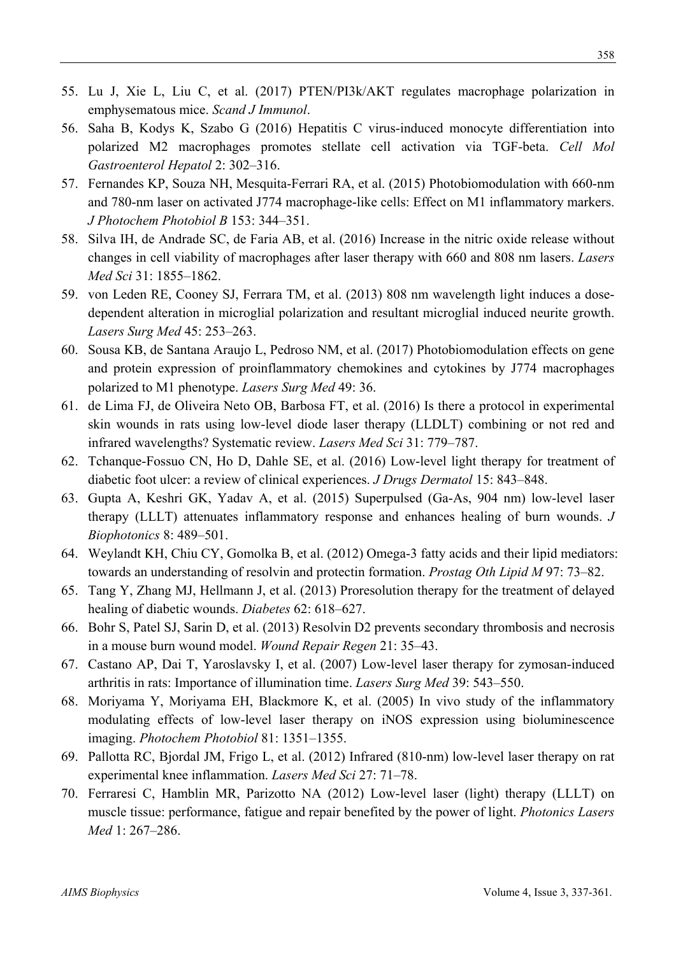358

- 55. Lu J, Xie L, Liu C, et al. (2017) PTEN/PI3k/AKT regulates macrophage polarization in emphysematous mice. *Scand J Immunol*.
- 56. Saha B, Kodys K, Szabo G (2016) Hepatitis C virus-induced monocyte differentiation into polarized M2 macrophages promotes stellate cell activation via TGF-beta. *Cell Mol Gastroenterol Hepatol* 2: 302–316.
- 57. Fernandes KP, Souza NH, Mesquita-Ferrari RA, et al. (2015) Photobiomodulation with 660-nm and 780-nm laser on activated J774 macrophage-like cells: Effect on M1 inflammatory markers. *J Photochem Photobiol B* 153: 344–351.
- 58. Silva IH, de Andrade SC, de Faria AB, et al. (2016) Increase in the nitric oxide release without changes in cell viability of macrophages after laser therapy with 660 and 808 nm lasers. *Lasers Med Sci* 31: 1855–1862.
- 59. von Leden RE, Cooney SJ, Ferrara TM, et al. (2013) 808 nm wavelength light induces a dosedependent alteration in microglial polarization and resultant microglial induced neurite growth. *Lasers Surg Med* 45: 253–263.
- 60. Sousa KB, de Santana Araujo L, Pedroso NM, et al. (2017) Photobiomodulation effects on gene and protein expression of proinflammatory chemokines and cytokines by J774 macrophages polarized to M1 phenotype. *Lasers Surg Med* 49: 36.
- 61. de Lima FJ, de Oliveira Neto OB, Barbosa FT, et al. (2016) Is there a protocol in experimental skin wounds in rats using low-level diode laser therapy (LLDLT) combining or not red and infrared wavelengths? Systematic review. *Lasers Med Sci* 31: 779–787.
- 62. Tchanque-Fossuo CN, Ho D, Dahle SE, et al. (2016) Low-level light therapy for treatment of diabetic foot ulcer: a review of clinical experiences. *J Drugs Dermatol* 15: 843–848.
- 63. Gupta A, Keshri GK, Yadav A, et al. (2015) Superpulsed (Ga-As, 904 nm) low-level laser therapy (LLLT) attenuates inflammatory response and enhances healing of burn wounds. *J Biophotonics* 8: 489–501.
- 64. Weylandt KH, Chiu CY, Gomolka B, et al. (2012) Omega-3 fatty acids and their lipid mediators: towards an understanding of resolvin and protectin formation. *Prostag Oth Lipid M* 97: 73–82.
- 65. Tang Y, Zhang MJ, Hellmann J, et al. (2013) Proresolution therapy for the treatment of delayed healing of diabetic wounds. *Diabetes* 62: 618–627.
- 66. Bohr S, Patel SJ, Sarin D, et al. (2013) Resolvin D2 prevents secondary thrombosis and necrosis in a mouse burn wound model. *Wound Repair Regen* 21: 35–43.
- 67. Castano AP, Dai T, Yaroslavsky I, et al. (2007) Low-level laser therapy for zymosan-induced arthritis in rats: Importance of illumination time. *Lasers Surg Med* 39: 543–550.
- 68. Moriyama Y, Moriyama EH, Blackmore K, et al. (2005) In vivo study of the inflammatory modulating effects of low-level laser therapy on iNOS expression using bioluminescence imaging. *Photochem Photobiol* 81: 1351–1355.
- 69. Pallotta RC, Bjordal JM, Frigo L, et al. (2012) Infrared (810-nm) low-level laser therapy on rat experimental knee inflammation. *Lasers Med Sci* 27: 71–78.
- 70. Ferraresi C, Hamblin MR, Parizotto NA (2012) Low-level laser (light) therapy (LLLT) on muscle tissue: performance, fatigue and repair benefited by the power of light. *Photonics Lasers Med* 1: 267–286.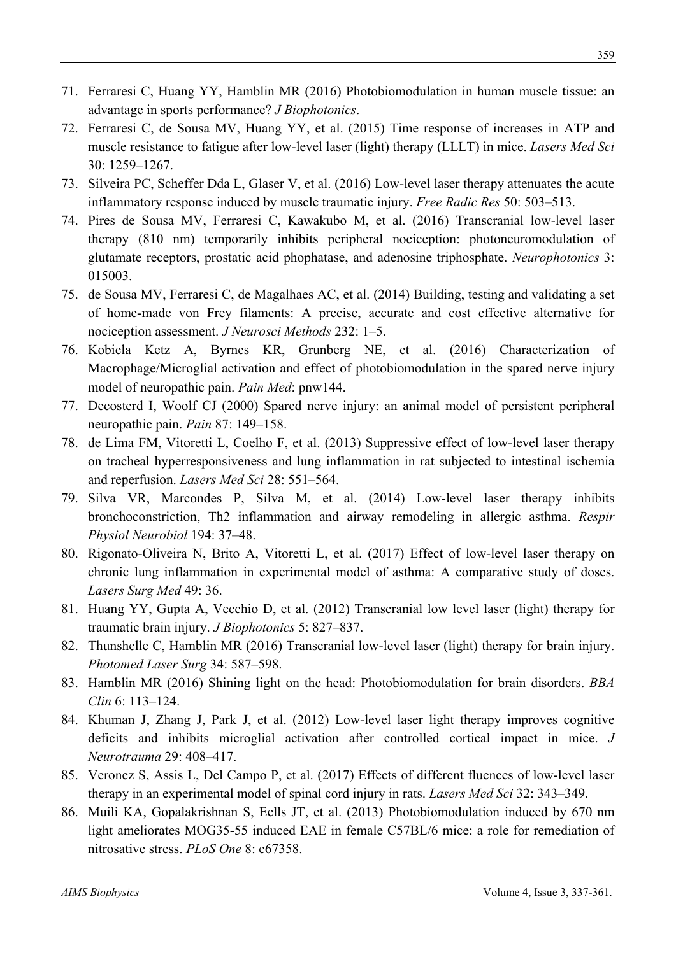- 71. Ferraresi C, Huang YY, Hamblin MR (2016) Photobiomodulation in human muscle tissue: an advantage in sports performance? *J Biophotonics*.
- 72. Ferraresi C, de Sousa MV, Huang YY, et al. (2015) Time response of increases in ATP and muscle resistance to fatigue after low-level laser (light) therapy (LLLT) in mice. *Lasers Med Sci* 30: 1259–1267.
- 73. Silveira PC, Scheffer Dda L, Glaser V, et al. (2016) Low-level laser therapy attenuates the acute inflammatory response induced by muscle traumatic injury. *Free Radic Res* 50: 503–513.
- 74. Pires de Sousa MV, Ferraresi C, Kawakubo M, et al. (2016) Transcranial low-level laser therapy (810 nm) temporarily inhibits peripheral nociception: photoneuromodulation of glutamate receptors, prostatic acid phophatase, and adenosine triphosphate. *Neurophotonics* 3: 015003.
- 75. de Sousa MV, Ferraresi C, de Magalhaes AC, et al. (2014) Building, testing and validating a set of home-made von Frey filaments: A precise, accurate and cost effective alternative for nociception assessment. *J Neurosci Methods* 232: 1–5.
- 76. Kobiela Ketz A, Byrnes KR, Grunberg NE, et al. (2016) Characterization of Macrophage/Microglial activation and effect of photobiomodulation in the spared nerve injury model of neuropathic pain. *Pain Med*: pnw144.
- 77. Decosterd I, Woolf CJ (2000) Spared nerve injury: an animal model of persistent peripheral neuropathic pain. *Pain* 87: 149–158.
- 78. de Lima FM, Vitoretti L, Coelho F, et al. (2013) Suppressive effect of low-level laser therapy on tracheal hyperresponsiveness and lung inflammation in rat subjected to intestinal ischemia and reperfusion. *Lasers Med Sci* 28: 551–564.
- 79. Silva VR, Marcondes P, Silva M, et al. (2014) Low-level laser therapy inhibits bronchoconstriction, Th2 inflammation and airway remodeling in allergic asthma. *Respir Physiol Neurobiol* 194: 37–48.
- 80. Rigonato-Oliveira N, Brito A, Vitoretti L, et al. (2017) Effect of low-level laser therapy on chronic lung inflammation in experimental model of asthma: A comparative study of doses. *Lasers Surg Med* 49: 36.
- 81. Huang YY, Gupta A, Vecchio D, et al. (2012) Transcranial low level laser (light) therapy for traumatic brain injury. *J Biophotonics* 5: 827–837.
- 82. Thunshelle C, Hamblin MR (2016) Transcranial low-level laser (light) therapy for brain injury. *Photomed Laser Surg* 34: 587–598.
- 83. Hamblin MR (2016) Shining light on the head: Photobiomodulation for brain disorders. *BBA Clin* 6: 113–124.
- 84. Khuman J, Zhang J, Park J, et al. (2012) Low-level laser light therapy improves cognitive deficits and inhibits microglial activation after controlled cortical impact in mice. *J Neurotrauma* 29: 408–417.
- 85. Veronez S, Assis L, Del Campo P, et al. (2017) Effects of different fluences of low-level laser therapy in an experimental model of spinal cord injury in rats. *Lasers Med Sci* 32: 343–349.
- 86. Muili KA, Gopalakrishnan S, Eells JT, et al. (2013) Photobiomodulation induced by 670 nm light ameliorates MOG35-55 induced EAE in female C57BL/6 mice: a role for remediation of nitrosative stress. *PLoS One* 8: e67358.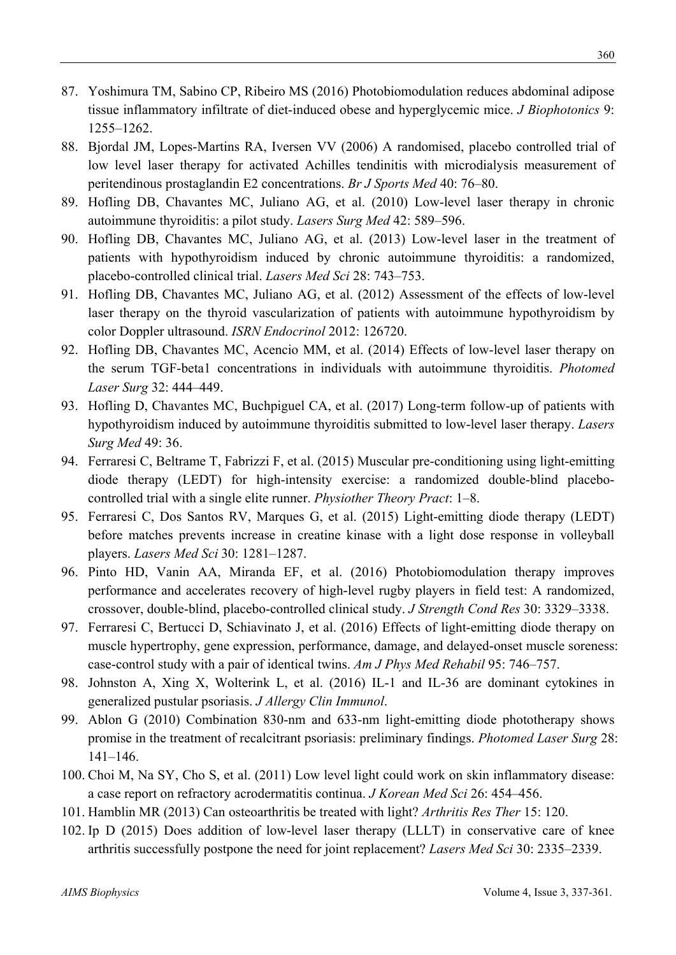- 87. Yoshimura TM, Sabino CP, Ribeiro MS (2016) Photobiomodulation reduces abdominal adipose tissue inflammatory infiltrate of diet-induced obese and hyperglycemic mice. *J Biophotonics* 9: 1255–1262.
- 88. Bjordal JM, Lopes-Martins RA, Iversen VV (2006) A randomised, placebo controlled trial of low level laser therapy for activated Achilles tendinitis with microdialysis measurement of peritendinous prostaglandin E2 concentrations. *Br J Sports Med* 40: 76–80.
- 89. Hofling DB, Chavantes MC, Juliano AG, et al. (2010) Low-level laser therapy in chronic autoimmune thyroiditis: a pilot study. *Lasers Surg Med* 42: 589–596.
- 90. Hofling DB, Chavantes MC, Juliano AG, et al. (2013) Low-level laser in the treatment of patients with hypothyroidism induced by chronic autoimmune thyroiditis: a randomized, placebo-controlled clinical trial. *Lasers Med Sci* 28: 743–753.
- 91. Hofling DB, Chavantes MC, Juliano AG, et al. (2012) Assessment of the effects of low-level laser therapy on the thyroid vascularization of patients with autoimmune hypothyroidism by color Doppler ultrasound. *ISRN Endocrinol* 2012: 126720.
- 92. Hofling DB, Chavantes MC, Acencio MM, et al. (2014) Effects of low-level laser therapy on the serum TGF-beta1 concentrations in individuals with autoimmune thyroiditis. *Photomed Laser Surg* 32: 444–449.
- 93. Hofling D, Chavantes MC, Buchpiguel CA, et al. (2017) Long-term follow-up of patients with hypothyroidism induced by autoimmune thyroiditis submitted to low-level laser therapy. *Lasers Surg Med* 49: 36.
- 94. Ferraresi C, Beltrame T, Fabrizzi F, et al. (2015) Muscular pre-conditioning using light-emitting diode therapy (LEDT) for high-intensity exercise: a randomized double-blind placebocontrolled trial with a single elite runner. *Physiother Theory Pract*: 1–8.
- 95. Ferraresi C, Dos Santos RV, Marques G, et al. (2015) Light-emitting diode therapy (LEDT) before matches prevents increase in creatine kinase with a light dose response in volleyball players. *Lasers Med Sci* 30: 1281–1287.
- 96. Pinto HD, Vanin AA, Miranda EF, et al. (2016) Photobiomodulation therapy improves performance and accelerates recovery of high-level rugby players in field test: A randomized, crossover, double-blind, placebo-controlled clinical study. *J Strength Cond Res* 30: 3329–3338.
- 97. Ferraresi C, Bertucci D, Schiavinato J, et al. (2016) Effects of light-emitting diode therapy on muscle hypertrophy, gene expression, performance, damage, and delayed-onset muscle soreness: case-control study with a pair of identical twins. *Am J Phys Med Rehabil* 95: 746–757.
- 98. Johnston A, Xing X, Wolterink L, et al. (2016) IL-1 and IL-36 are dominant cytokines in generalized pustular psoriasis. *J Allergy Clin Immunol*.
- 99. Ablon G (2010) Combination 830-nm and 633-nm light-emitting diode phototherapy shows promise in the treatment of recalcitrant psoriasis: preliminary findings. *Photomed Laser Surg* 28: 141–146.
- 100. Choi M, Na SY, Cho S, et al. (2011) Low level light could work on skin inflammatory disease: a case report on refractory acrodermatitis continua. *J Korean Med Sci* 26: 454–456.
- 101. Hamblin MR (2013) Can osteoarthritis be treated with light? *Arthritis Res Ther* 15: 120.
- 102. Ip D (2015) Does addition of low-level laser therapy (LLLT) in conservative care of knee arthritis successfully postpone the need for joint replacement? *Lasers Med Sci* 30: 2335–2339.